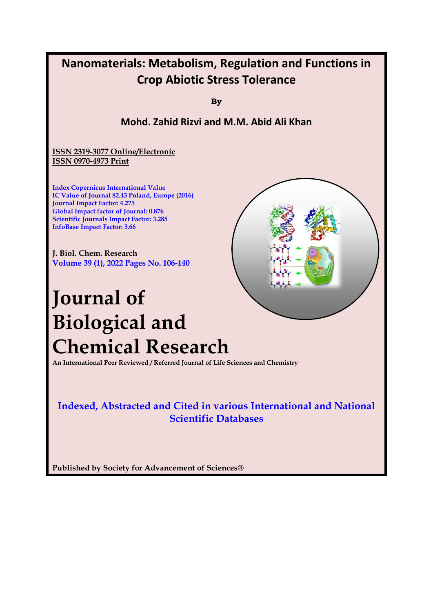

**Published by Society for Advancement of Sciences®**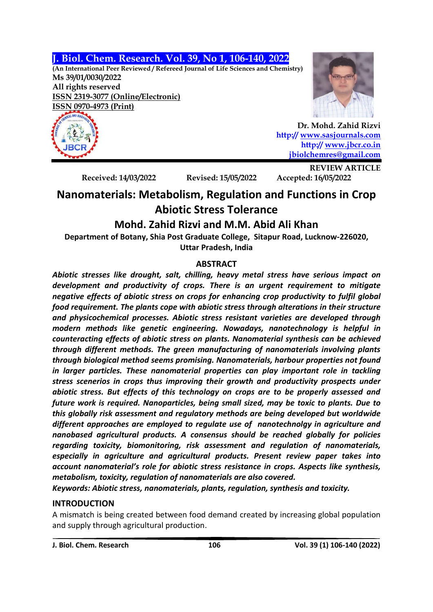# **J. Biol. Chem. Research. Vol. 39, No 1, 106-140, 2022**

**(An International Peer Reviewed / Refereed Journal of Life Sciences and Chemistry) Ms 39/01/0030/2022 All rights reserved ISSN 2319-3077 (Online/Electronic) ISSN 0970-4973 (Print)**





 **Dr. Mohd. Zahid Rizvi http:// [www.sasjournals.com](http://www.sasjournals.com/) http:/[/ www.jbcr.co.in](http://www.jbcr.co.in/) [jbiolchemres@gmail.com](mailto:jbiolchemres@gmail.com)**

**Received: 14/03/2022 Revised: 15/05/2022 Accepted: 16/05/2022**

**REVIEW ARTICLE**

# **Nanomaterials: Metabolism, Regulation and Functions in Crop Abiotic Stress Tolerance**

# **Mohd. Zahid Rizvi and M.M. Abid Ali Khan**

**Department of Botany, Shia Post Graduate College, Sitapur Road, Lucknow-226020, Uttar Pradesh, India**

# **ABSTRACT**

*Abiotic stresses like drought, salt, chilling, heavy metal stress have serious impact on development and productivity of crops. There is an urgent requirement to mitigate negative effects of abiotic stress on crops for enhancing crop productivity to fulfil global food requirement. The plants cope with abiotic stress through alterations in their structure and physicochemical processes. Abiotic stress resistant varieties are developed through modern methods like genetic engineering. Nowadays, nanotechnology is helpful in counteracting effects of abiotic stress on plants. Nanomaterial synthesis can be achieved through different methods. The green manufacturing of nanomaterials involving plants through biological method seems promising. Nanomaterials, harbour properties not found in larger particles. These nanomaterial properties can play important role in tackling stress scenerios in crops thus improving their growth and productivity prospects under abiotic stress. But effects of this technology on crops are to be properly assessed and future work is required. Nanoparticles, being small sized, may be toxic to plants. Due to this globally risk assessment and regulatory methods are being developed but worldwide different approaches are employed to regulate use of nanotechnolgy in agriculture and nanobased agricultural products. A consensus should be reached globally for policies regarding toxicity, biomonitoring, risk assessment and regulation of nanomaterials, especially in agriculture and agricultural products. Present review paper takes into account nanomaterial's role for abiotic stress resistance in crops. Aspects like synthesis, metabolism, toxicity, regulation of nanomaterials are also covered.*

*Keywords: Abiotic stress, nanomaterials, plants, regulation, synthesis and toxicity.*

# **INTRODUCTION**

A mismatch is being created between food demand created by increasing global population and supply through agricultural production.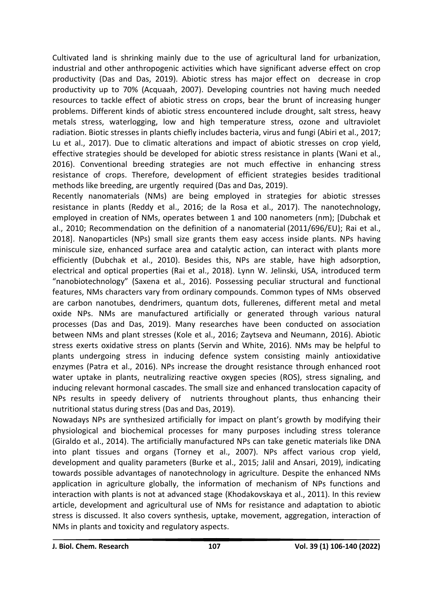Cultivated land is shrinking mainly due to the use of agricultural land for urbanization, industrial and other anthropogenic activities which have significant adverse effect on crop productivity (Das and Das, 2019). Abiotic stress has major effect on decrease in crop productivity up to 70% (Acquaah, 2007). Developing countries not having much needed resources to tackle effect of abiotic stress on crops, bear the brunt of increasing hunger problems. Different kinds of abiotic stress encountered include drought, salt stress, heavy metals stress, waterlogging, low and high temperature stress, ozone and ultraviolet radiation. Biotic stresses in plants chiefly includes bacteria, virus and fungi (Abiri et al., 2017; Lu et al., 2017). Due to climatic alterations and impact of abiotic stresses on crop yield, effective strategies should be developed for abiotic stress resistance in plants (Wani et al., 2016). Conventional breeding strategies are not much effective in enhancing stress resistance of crops. Therefore, development of efficient strategies besides traditional methods like breeding, are urgently required (Das and Das, 2019).

Recently nanomaterials (NMs) are being employed in strategies for abiotic stresses resistance in plants (Reddy et al., 2016; de la Rosa et al., 2017). The nanotechnology, employed in creation of NMs, operates between 1 and 100 nanometers (nm); [Dubchak et al., 2010; [Recommendation](https://eur-lex.europa.eu/legal-content/EN/TXT/?uri=CELEX:32011H0696) on the definition of a nanomaterial (2011/696/EU); Rai et al., 2018]. Nanoparticles (NPs) small size grants them easy access inside plants. NPs having miniscule size, enhanced surface area and catalytic action, can interact with plants more efficiently (Dubchak et al., 2010). Besides this, NPs are stable, have high adsorption, electrical and optical properties (Rai et al., 2018). Lynn W. Jelinski, USA, introduced term "nanobiotechnology" (Saxena et al., 2016). Possessing peculiar structural and functional features, NMs characters vary from ordinary compounds. Common types of NMs observed are carbon nanotubes, dendrimers, quantum dots, fullerenes, different metal and metal oxide NPs. NMs are manufactured artificially or generated through various natural processes (Das and Das, 2019). Many researches have been conducted on association between NMs and plant stresses (Kole et al., 2016; Zaytseva and Neumann, 2016). Abiotic stress exerts oxidative stress on plants (Servin and White, 2016). NMs may be helpful to plants undergoing stress in inducing defence system consisting mainly antioxidative enzymes (Patra et al., 2016). NPs increase the drought resistance through enhanced root water uptake in plants, neutralizing reactive oxygen species (ROS), stress signaling, and inducing relevant hormonal cascades. The small size and enhanced translocation capacity of NPs results in speedy delivery of nutrients throughout plants, thus enhancing their nutritional status during stress (Das and Das, 2019).

Nowadays NPs are synthesized artificially for impact on plant's growth by modifying their physiological and biochemical processes for many purposes including stress tolerance (Giraldo et al., 2014). The artificially manufactured NPs can take genetic materials like DNA into plant tissues and organs (Torney et al., 2007). NPs affect various crop yield, development and quality parameters (Burke et al., 2015; Jalil and Ansari, 2019), indicating towards possible advantages of nanotechnology in agriculture. Despite the enhanced NMs application in agriculture globally, the information of mechanism of NPs functions and interaction with plants is not at advanced stage (Khodakovskaya et al., 2011). In this review article, development and agricultural use of NMs for resistance and adaptation to abiotic stress is discussed. It also covers synthesis, uptake, movement, aggregation, interaction of NMs in plants and toxicity and regulatory aspects.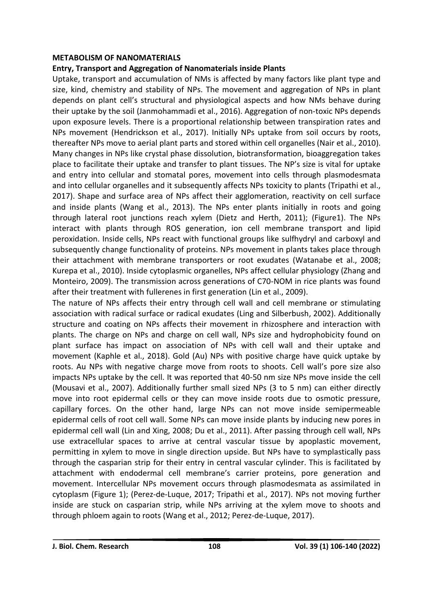#### **METABOLISM OF NANOMATERIALS**

# **Entry, Transport and Aggregation of Nanomaterials inside Plants**

Uptake, transport and accumulation of NMs is affected by many factors like plant type and size, kind, chemistry and stability of NPs. The movement and aggregation of NPs in plant depends on plant cell's structural and physiological aspects and how NMs behave during their uptake by the soil (Janmohammadi et al., 2016). Aggregation of non-toxic NPs depends upon exposure levels. There is a proportional relationship between transpiration rates and NPs movement (Hendrickson et al., 2017). Initially NPs uptake from soil occurs by roots, thereafter NPs move to aerial plant parts and stored within cell organelles (Nair et al., 2010). Many changes in NPs like crystal phase dissolution, biotransformation, bioaggregation takes place to facilitate their uptake and transfer to plant tissues. The NP's size is vital for uptake and entry into cellular and stomatal pores, movement into cells through plasmodesmata and into cellular organelles and it subsequently affects NPs toxicity to plants (Tripathi et al., 2017). Shape and surface area of NPs affect their agglomeration, reactivity on cell surface and inside plants (Wang et al., 2013). The NPs enter plants initially in roots and going through lateral root junctions reach xylem (Dietz and Herth, 2011); (Figure1). The NPs interact with plants through ROS generation, ion cell membrane transport and lipid peroxidation. Inside cells, NPs react with functional groups like sulfhydryl and carboxyl and subsequently change functionality of proteins. NPs movement in plants takes place through their attachment with membrane transporters or root exudates (Watanabe et al., 2008; Kurepa et al., 2010). Inside cytoplasmic organelles, NPs affect cellular physiology (Zhang and Monteiro, 2009). The transmission across generations of C70-NOM in rice plants was found after their treatment with fullerenes in first generation (Lin et al., 2009).

The nature of NPs affects their entry through cell wall and cell membrane or stimulating association with radical surface or radical exudates (Ling and Silberbush, 2002). Additionally structure and coating on NPs affects their movement in rhizosphere and interaction with plants. The charge on NPs and charge on cell wall, NPs size and hydrophobicity found on plant surface has impact on association of NPs with cell wall and their uptake and movement (Kaphle et al., 2018). Gold (Au) NPs with positive charge have quick uptake by roots. Au NPs with negative charge move from roots to shoots. Cell wall's pore size also impacts NPs uptake by the cell. It was reported that 40-50 nm size NPs move inside the cell (Mousavi et al., 2007). Additionally further small sized NPs (3 to 5 nm) can either directly move into root epidermal cells or they can move inside roots due to osmotic pressure, capillary forces. On the other hand, large NPs can not move inside semipermeable epidermal cells of root cell wall. Some NPs can move inside plants by inducing new pores in epidermal cell wall (Lin and Xing, 2008; Du et al., 2011). After passing through cell wall, NPs use extracellular spaces to arrive at central vascular tissue by apoplastic movement, permitting in xylem to move in single direction upside. But NPs have to symplastically pass through the casparian strip for their entry in central vascular cylinder. This is facilitated by attachment with endodermal cell membrane's carrier proteins, pore generation and movement. Intercellular NPs movement occurs through plasmodesmata as assimilated in cytoplasm (Figure 1); (Perez-de-Luque, 2017; Tripathi et al., 2017). NPs not moving further inside are stuck on casparian strip, while NPs arriving at the xylem move to shoots and through phloem again to roots (Wang et al., 2012; Perez-de-Luque, 2017).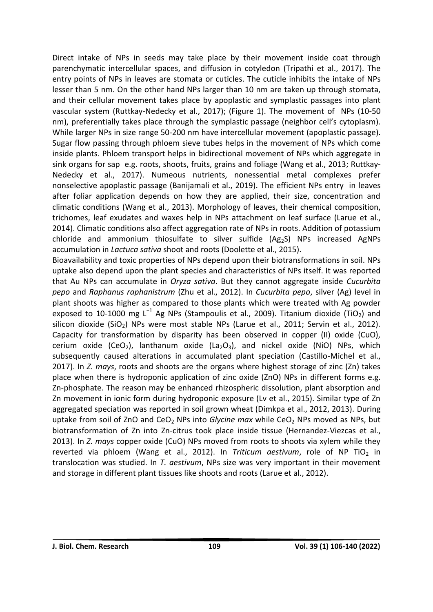Direct intake of NPs in seeds may take place by their movement inside coat through parenchymatic intercellular spaces, and diffusion in cotyledon (Tripathi et al., 2017). The entry points of NPs in leaves are stomata or cuticles. The cuticle inhibits the intake of NPs lesser than 5 nm. On the other hand NPs larger than 10 nm are taken up through stomata, and their cellular movement takes place by apoplastic and symplastic passages into plant vascular system (Ruttkay-Nedecky et al., 2017); (Figure 1). The movement of NPs (10-50 nm), preferentially takes place through the symplastic passage (neighbor cell's cytoplasm). While larger NPs in size range 50-200 nm have intercellular movement (apoplastic passage). Sugar flow passing through phloem sieve tubes helps in the movement of NPs which come inside plants. Phloem transport helps in bidirectional movement of NPs which aggregate in sink organs for sap e.g. roots, shoots, fruits, grains and foliage (Wang et al., 2013; Ruttkay-Nedecky et al., 2017). Numeous nutrients, nonessential metal complexes prefer nonselective apoplastic passage (Banijamali et al., 2019). The efficient NPs entry in leaves after foliar application depends on how they are applied, their size, concentration and climatic conditions (Wang et al., 2013). Morphology of leaves, their chemical composition, trichomes, leaf exudates and waxes help in NPs attachment on leaf surface (Larue et al., 2014). Climatic conditions also affect aggregation rate of NPs in roots. Addition of potassium chloride and ammonium thiosulfate to silver sulfide  $(Ag_2S)$  NPs increased AgNPs accumulation in *Lactuca sativa* shoot and roots (Doolette et al., 2015).

Bioavailability and toxic properties of NPs depend upon their biotransformations in soil. NPs uptake also depend upon the plant species and characteristics of NPs itself. It was reported that Au NPs can accumulate in *Oryza sativa*. But they cannot aggregate inside *Cucurbita pepo* and *Raphanus raphanistrum* (Zhu et al., 2012). In *Cucurbita pepo*, silver (Ag) level in plant shoots was higher as compared to those plants which were treated with Ag powder exposed to 10-1000 mg L<sup>-1</sup> Ag NPs (Stampoulis et al., 2009). Titanium dioxide (TiO<sub>2</sub>) and silicon dioxide (SiO<sub>2</sub>) NPs were most stable NPs (Larue et al., 2011; Servin et al., 2012). Capacity for transformation by disparity has been observed in copper (II) oxide (CuO), cerium oxide (CeO<sub>2</sub>), lanthanum oxide (La<sub>2</sub>O<sub>3</sub>), and nickel oxide (NiO) NPs, which subsequently caused alterations in accumulated plant speciation (Castillo-Michel et al., 2017). In *Z. mays*, roots and shoots are the organs where highest storage of zinc (Zn) takes place when there is hydroponic application of zinc oxide (ZnO) NPs in different forms e.g. Zn-phosphate. The reason may be enhanced rhizospheric dissolution, plant absorption and Zn movement in ionic form during hydroponic exposure (Lv et al., 2015). Similar type of Zn aggregated speciation was reported in soil grown wheat (Dimkpa et al., 2012, 2013). During uptake from soil of ZnO and CeO<sub>2</sub> NPs into *Glycine max* while CeO<sub>2</sub> NPs moved as NPs, but biotransformation of Zn into Zn-citrus took place inside tissue (Hernandez-Viezcas et al., 2013). In *Z. mays* copper oxide (CuO) NPs moved from roots to shoots via xylem while they reverted via phloem (Wang et al., 2012). In *Triticum aestivum*, role of NP TiO<sub>2</sub> in translocation was studied. In *T. aestivum*, NPs size was very important in their movement and storage in different plant tissues like shoots and roots (Larue et al., 2012).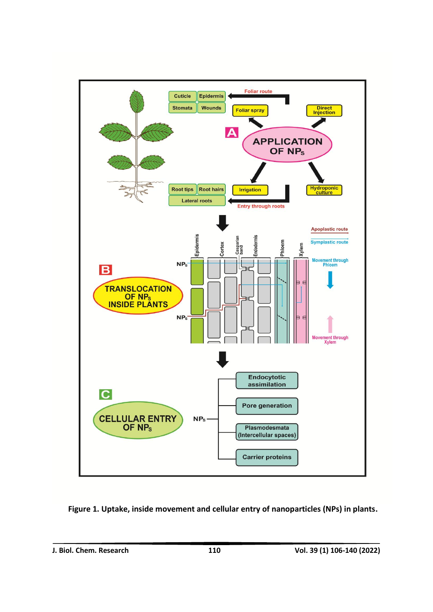

 **Figure 1. Uptake, inside movement and cellular entry of nanoparticles (NPs) in plants.**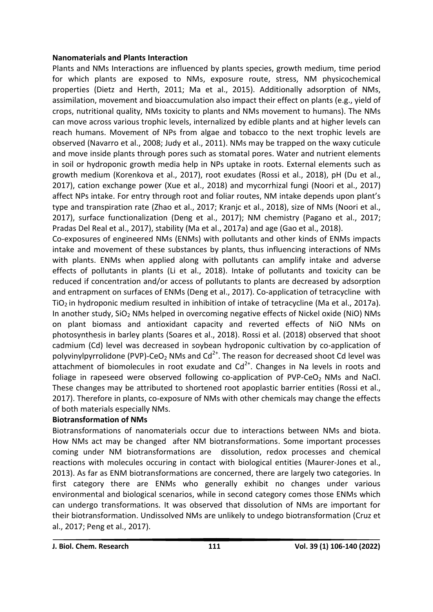#### **Nanomaterials and Plants Interaction**

Plants and NMs Interactions are influenced by plants species, growth medium, time period for which plants are exposed to NMs, exposure route, stress, NM physicochemical properties (Dietz and Herth, 2011; Ma et al., 2015). Additionally adsorption of NMs, assimilation, movement and bioaccumulation also impact their effect on plants (e.g., yield of crops, nutritional quality, NMs toxicity to plants and NMs movement to humans). The NMs can move across various trophic levels, internalized by edible plants and at higher levels can reach humans. Movement of NPs from algae and tobacco to the next trophic levels are observed (Navarro et al., 2008; Judy et al., 2011). NMs may be trapped on the waxy cuticule and move inside plants through pores such as stomatal pores. Water and nutrient elements in soil or hydroponic growth media help in NPs uptake in roots. External elements such as growth medium (Korenkova et al., 2017), root exudates (Rossi et al., 2018), pH (Du et al., 2017), cation exchange power (Xue et al., 2018) and mycorrhizal fungi (Noori et al., 2017) affect NPs intake. For entry through root and foliar routes, NM intake depends upon plant's type and transpiration rate (Zhao et al., 2017; Kranjc et al., 2018), size of NMs (Noori et al., 2017), surface functionalization (Deng et al., 2017); NM chemistry (Pagano et al., 2017; Pradas Del Real et al., 2017), stability (Ma et al., 2017a) and age (Gao et al., 2018).

Co-exposures of engineered NMs (ENMs) with pollutants and other kinds of ENMs impacts intake and movement of these substances by plants, thus influencing interactions of NMs with plants. ENMs when applied along with pollutants can amplify intake and adverse effects of pollutants in plants (Li et al., 2018). Intake of pollutants and toxicity can be reduced if concentration and/or access of pollutants to plants are decreased by adsorption and entrapment on surfaces of ENMs (Deng et al., 2017). Co-application of tetracycline with  $TiO<sub>2</sub>$  in hydroponic medium resulted in inhibition of intake of tetracycline (Ma et al., 2017a). In another study,  $SiO<sub>2</sub>$  NMs helped in overcoming negative effects of Nickel oxide (NiO) NMs on plant biomass and antioxidant capacity and reverted effects of NiO NMs on photosynthesis in barley plants (Soares et al., 2018). Rossi et al. (2018) observed that shoot cadmium (Cd) level was decreased in soybean hydroponic cultivation by co-application of polyvinylpyrrolidone (PVP)-CeO<sub>2</sub> NMs and Cd<sup>2+</sup>. The reason for decreased shoot Cd level was attachment of biomolecules in root exudate and  $Cd^{2+}$ . Changes in Na levels in roots and foliage in rapeseed were observed following co-application of PVP-CeO<sub>2</sub> NMs and NaCl. These changes may be attributed to shortened root apoplastic barrier entities (Rossi et al., 2017). Therefore in plants, co-exposure of NMs with other chemicals may change the effects of both materials especially NMs.

# **Biotransformation of NMs**

Biotransformations of nanomaterials occur due to interactions between NMs and biota. How NMs act may be changed after NM biotransformations. Some important processes coming under NM biotransformations are dissolution, redox processes and chemical reactions with molecules occuring in contact with biological entities (Maurer-Jones et al., 2013). As far as ENM biotransformations are concerned, there are largely two categories. In first category there are ENMs who generally exhibit no changes under various environmental and biological scenarios, while in second category comes those ENMs which can undergo transformations. It was observed that dissolution of NMs are important for their biotransformation. Undissolved NMs are unlikely to undego biotransformation (Cruz et al., 2017; Peng et al., 2017).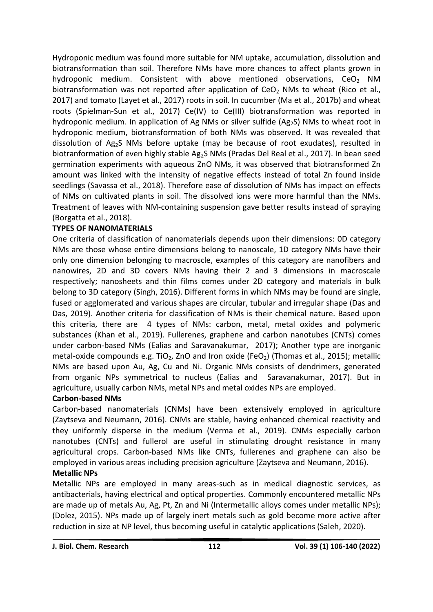Hydroponic medium was found more suitable for NM uptake, accumulation, dissolution and biotransformation than soil. Therefore NMs have more chances to affect plants grown in hydroponic medium. Consistent with above mentioned observations. CeO<sub>2</sub> NM biotransformation was not reported after application of  $CeO<sub>2</sub>$  NMs to wheat (Rico et al., 2017) and tomato (Layet et al., 2017) roots in soil. In cucumber (Ma et al., 2017b) and wheat roots (Spielman-Sun et al., 2017) Ce(IV) to Ce(III) biotransformation was reported in hydroponic medium. In application of Ag NMs or silver sulfide ( $Ag<sub>2</sub>S$ ) NMs to wheat root in hydroponic medium, biotransformation of both NMs was observed. It was revealed that dissolution of Ag2S NMs before uptake (may be because of root exudates), resulted in biotranformation of even highly stable Ag<sub>2</sub>S NMs (Pradas Del Real et al., 2017). In bean seed germination experiments with aqueous ZnO NMs, it was observed that biotransformed Zn amount was linked with the intensity of negative effects instead of total Zn found inside seedlings (Savassa et al., 2018). Therefore ease of dissolution of NMs has impact on effects of NMs on cultivated plants in soil. The dissolved ions were more harmful than the NMs. Treatment of leaves with NM-containing suspension gave better results instead of spraying (Borgatta et al., 2018).

# **TYPES OF NANOMATERIALS**

One criteria of classification of nanomaterials depends upon their dimensions: 0D category NMs are those whose entire dimensions belong to nanoscale, 1D category NMs have their only one dimension belonging to macroscle, examples of this category are nanofibers and nanowires, 2D and 3D covers NMs having their 2 and 3 dimensions in macroscale respectively; nanosheets and thin films comes under 2D category and materials in bulk belong to 3D category (Singh, 2016). Different forms in which NMs may be found are single, fused or agglomerated and various shapes are circular, tubular and irregular shape (Das and Das, 2019). Another criteria for classification of NMs is their chemical nature. Based upon this criteria, there are 4 types of NMs: carbon, metal, metal oxides and polymeric substances (Khan et al., 2019). Fullerenes, graphene and carbon nanotubes (CNTs) comes under carbon-based NMs (Ealias and Saravanakumar, 2017); Another type are inorganic metal-oxide compounds e.g. TiO<sub>2</sub>, ZnO and Iron oxide (FeO<sub>2</sub>) (Thomas et al., 2015); metallic NMs are based upon Au, Ag, Cu and Ni. Organic NMs consists of dendrimers, generated from organic NPs symmetrical to nucleus (Ealias and Saravanakumar, 2017). But in agriculture, usually carbon NMs, metal NPs and metal oxides NPs are employed.

# **Carbon-based NMs**

Carbon-based nanomaterials (CNMs) have been extensively employed in agriculture (Zaytseva and Neumann, 2016). CNMs are stable, having enhanced chemical reactivity and they uniformly disperse in the medium (Verma et al., 2019). CNMs especially carbon nanotubes (CNTs) and fullerol are useful in stimulating drought resistance in many agricultural crops. Carbon-based NMs like CNTs, fullerenes and graphene can also be employed in various areas including precision agriculture (Zaytseva and Neumann, 2016). **Metallic NPs**

Metallic NPs are employed in many areas-such as in medical diagnostic services, as antibacterials, having electrical and optical properties. Commonly encountered metallic NPs are made up of metals Au, Ag, Pt, Zn and Ni (Intermetallic alloys comes under metallic NPs); (Dolez, 2015). NPs made up of largely inert metals such as gold become more active after reduction in size at NP level, thus becoming useful in catalytic applications (Saleh, 2020).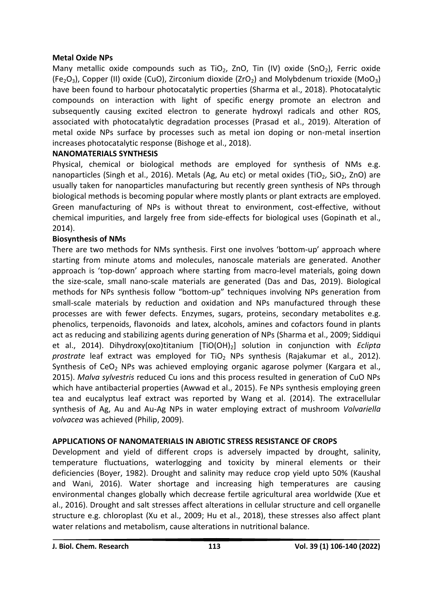# **Metal Oxide NPs**

Many metallic oxide compounds such as TiO<sub>2</sub>, ZnO, Tin (IV) oxide (SnO<sub>2</sub>), Ferric oxide (Fe<sub>2</sub>O<sub>3</sub>), Copper (II) oxide (CuO), Zirconium dioxide (ZrO<sub>2</sub>) and Molybdenum trioxide (MoO<sub>3</sub>) have been found to harbour photocatalytic properties (Sharma et al., 2018). Photocatalytic compounds on interaction with light of specific energy promote an electron and subsequently causing excited electron to generate hydroxyl radicals and other ROS, associated with photocatalytic degradation processes (Prasad et al., 2019). Alteration of metal oxide NPs surface by processes such as metal ion doping or non-metal insertion increases photocatalytic response (Bishoge et al., 2018).

# **NANOMATERIALS SYNTHESIS**

Physical, chemical or biological methods are employed for synthesis of NMs e.g. nanoparticles (Singh et al., 2016). Metals (Ag, Au etc) or metal oxides (TiO<sub>2</sub>, SiO<sub>2</sub>, ZnO) are usually taken for nanoparticles manufacturing but recently green synthesis of NPs through biological methods is becoming popular where mostly plants or plant extracts are employed. Green manufacturing of NPs is without threat to environment, cost-effective, without chemical impurities, and largely free from side-effects for biological uses (Gopinath et al., 2014).

# **Biosynthesis of NMs**

There are two methods for NMs synthesis. First one involves 'bottom-up' approach where starting from minute atoms and molecules, nanoscale materials are generated. Another approach is 'top-down' approach where starting from macro-level materials, going down the size-scale, small nano-scale materials are generated (Das and Das, 2019). Biological methods for NPs synthesis follow "bottom-up" techniques involving NPs generation from small-scale materials by reduction and oxidation and NPs manufactured through these processes are with fewer defects. Enzymes, sugars, proteins, secondary metabolites e.g. phenolics, terpenoids, flavonoids and latex, alcohols, amines and cofactors found in plants act as reducing and stabilizing agents during generation of NPs (Sharma et al., 2009; Siddiqui et al., 2014). Dihydroxy(oxo)titanium [TiO(OH)2] solution in conjunction with *Eclipta*  prostrate leaf extract was employed for TiO<sub>2</sub> NPs synthesis (Rajakumar et al., 2012). Synthesis of  $CeO<sub>2</sub>$  NPs was achieved employing organic agarose polymer (Kargara et al., 2015). *Malva sylvestris* reduced Cu ions and this process resulted in generation of CuO NPs which have antibacterial properties (Awwad et al., 2015). Fe NPs synthesis employing green tea and eucalyptus leaf extract was reported by Wang et al. (2014). The extracellular synthesis of Ag, Au and Au-Ag NPs in water employing extract of mushroom *Volvariella volvacea* was achieved (Philip, 2009).

# **APPLICATIONS OF NANOMATERIALS IN ABIOTIC STRESS RESISTANCE OF CROPS**

Development and yield of different crops is adversely impacted by drought, salinity, temperature fluctuations, waterlogging and toxicity by mineral elements or their deficiencies (Boyer, 1982). Drought and salinity may reduce crop yield upto 50% (Kaushal and Wani, 2016). Water shortage and increasing high temperatures are causing environmental changes globally which decrease fertile agricultural area worldwide (Xue et al., 2016). Drought and salt stresses affect alterations in cellular structure and cell organelle structure e.g. chloroplast (Xu et al., 2009; Hu et al., 2018), these stresses also affect plant water relations and metabolism, cause alterations in nutritional balance.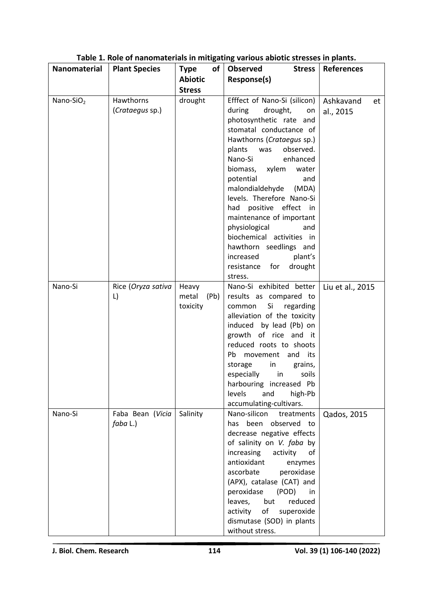| Nanomaterial | <b>Plant Species</b>           | <b>Type</b>               | of | <b>Observed</b><br><b>Stress</b>                                                                                                                                                                                                                                                                                                                                                                                                           | <b>References</b>            |
|--------------|--------------------------------|---------------------------|----|--------------------------------------------------------------------------------------------------------------------------------------------------------------------------------------------------------------------------------------------------------------------------------------------------------------------------------------------------------------------------------------------------------------------------------------------|------------------------------|
|              |                                | <b>Abiotic</b>            |    | Response(s)                                                                                                                                                                                                                                                                                                                                                                                                                                |                              |
|              |                                | <b>Stress</b>             |    |                                                                                                                                                                                                                                                                                                                                                                                                                                            |                              |
| Nano-SiO $2$ | Hawthorns<br>(Crataegus sp.)   | drought                   |    | Efffect of Nano-Si (silicon)<br>during<br>drought,<br>on<br>photosynthetic rate and<br>stomatal conductance of<br>Hawthorns (Crataegus sp.)<br>observed.<br>plants<br>was<br>enhanced<br>Nano-Si<br>biomass, xylem<br>water<br>potential<br>and<br>malondialdehyde (MDA)<br>levels. Therefore Nano-Si<br>had positive effect in<br>maintenance of important<br>physiological<br>and<br>biochemical activities in<br>hawthorn seedlings and | Ashkavand<br>et<br>al., 2015 |
|              |                                |                           |    | plant's<br>increased                                                                                                                                                                                                                                                                                                                                                                                                                       |                              |
|              |                                |                           |    | drought<br>resistance for<br>stress.                                                                                                                                                                                                                                                                                                                                                                                                       |                              |
| Nano-Si      | Rice (Oryza sativa             | Heavy                     |    | Nano-Si exhibited better                                                                                                                                                                                                                                                                                                                                                                                                                   | Liu et al., 2015             |
|              | L)                             | metal<br>(Pb)<br>toxicity |    | results as compared to<br>common<br>Si<br>regarding<br>alleviation of the toxicity<br>induced by lead (Pb) on<br>growth of rice and it<br>reduced roots to shoots<br>movement and<br>Pb<br>its<br>$\mathsf{in}$<br>storage<br>grains,<br>especially<br>in<br>soils<br>harbouring increased Pb<br>levels<br>high-Pb<br>and<br>accumulating-cultivars.                                                                                       |                              |
| Nano-Si      | Faba Bean (Vicia<br>$faba$ L.) | Salinity                  |    | Nano-silicon<br>treatments<br>has been observed to<br>decrease negative effects<br>of salinity on V. faba by<br>increasing<br>activity<br>of<br>antioxidant<br>enzymes<br>ascorbate<br>peroxidase<br>(APX), catalase (CAT) and<br>peroxidase (POD)<br>in<br>leaves,<br>but<br>reduced<br>of<br>superoxide<br>activity<br>dismutase (SOD) in plants<br>without stress.                                                                      | Qados, 2015                  |

# **Table 1. Role of nanomaterials in mitigating various abiotic stresses in plants.**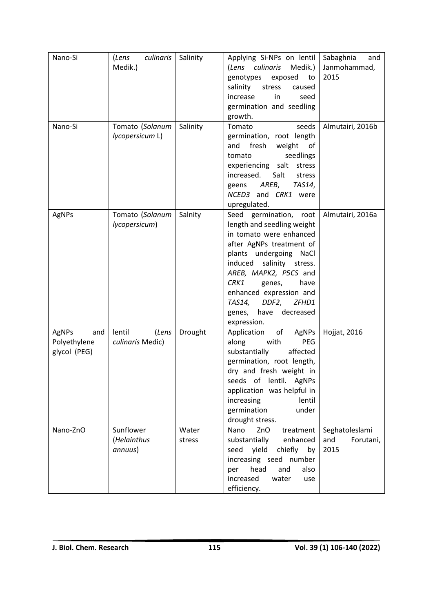| Nano-Si      | culinaris<br>(Lens | Salinity | Applying Si-NPs on lentil      | Sabaghnia<br>and |
|--------------|--------------------|----------|--------------------------------|------------------|
|              | Medik.)            |          | (Lens culinaris<br>Medik.)     | Janmohammad,     |
|              |                    |          | genotypes<br>exposed<br>to     | 2015             |
|              |                    |          | salinity<br>stress<br>caused   |                  |
|              |                    |          | increase<br>in<br>seed         |                  |
|              |                    |          | germination and seedling       |                  |
|              |                    |          | growth.                        |                  |
| Nano-Si      | Tomato (Solanum    | Salinity | Tomato<br>seeds                | Almutairi, 2016b |
|              | lycopersicum L)    |          | germination, root length       |                  |
|              |                    |          | fresh<br>weight<br>and<br>of   |                  |
|              |                    |          | seedlings<br>tomato            |                  |
|              |                    |          | experiencing salt stress       |                  |
|              |                    |          | increased.<br>Salt<br>stress   |                  |
|              |                    |          | AREB,<br>TAS14,<br>geens       |                  |
|              |                    |          | NCED3 and CRK1 were            |                  |
|              |                    |          | upregulated.                   |                  |
| AgNPs        | Tomato (Solanum    | Salnity  | Seed germination, root         | Almutairi, 2016a |
|              | lycopersicum)      |          | length and seedling weight     |                  |
|              |                    |          | in tomato were enhanced        |                  |
|              |                    |          | after AgNPs treatment of       |                  |
|              |                    |          | plants undergoing NaCl         |                  |
|              |                    |          | induced salinity stress.       |                  |
|              |                    |          | AREB, MAPK2, P5CS and          |                  |
|              |                    |          | CRK1<br>genes,<br>have         |                  |
|              |                    |          | enhanced expression and        |                  |
|              |                    |          | DDF2,<br>TAS14,<br>ZFHD1       |                  |
|              |                    |          | decreased<br>genes,<br>have    |                  |
|              |                    |          | expression.                    |                  |
| AgNPs<br>and | lentil<br>(Lens    | Drought  | Application<br>of<br>AgNPs     | Hojjat, 2016     |
| Polyethylene | culinaris Medic)   |          | along<br><b>PEG</b><br>with    |                  |
| glycol (PEG) |                    |          | substantially<br>affected      |                  |
|              |                    |          | germination, root length,      |                  |
|              |                    |          | dry and fresh weight in        |                  |
|              |                    |          | seeds of lentil.<br>AgNPs      |                  |
|              |                    |          | application was helpful in     |                  |
|              |                    |          | lentil<br>increasing           |                  |
|              |                    |          | germination<br>under           |                  |
|              |                    |          | drought stress.                |                  |
| Nano-ZnO     | Sunflower          | Water    | ZnO<br>Nano<br>treatment       | Seghatoleslami   |
|              | (Helainthus        | stress   | substantially<br>enhanced      | and<br>Forutani, |
|              | annuus)            |          | yield<br>chiefly<br>seed<br>by | 2015             |
|              |                    |          | increasing seed number         |                  |
|              |                    |          | head<br>and<br>also<br>per     |                  |
|              |                    |          | increased<br>water<br>use      |                  |
|              |                    |          | efficiency.                    |                  |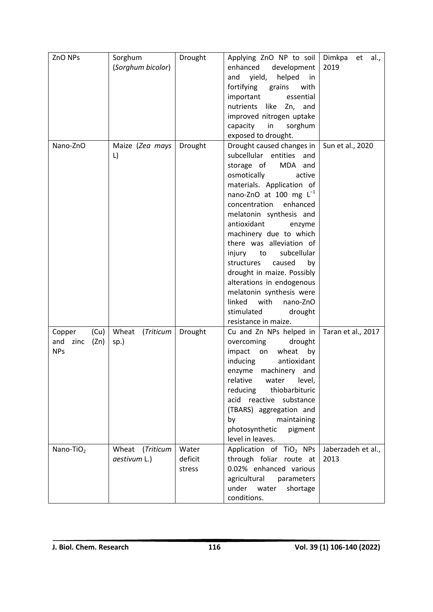| ZnO NPs          | Sorghum            | Drought | Applying ZnO NP to soil                                  | Dimkpa<br>al.,<br>et |
|------------------|--------------------|---------|----------------------------------------------------------|----------------------|
|                  | (Sorghum bicolor)  |         | enhanced development                                     | 2019                 |
|                  |                    |         | yield,<br>helped<br>and<br>in                            |                      |
|                  |                    |         | fortifying<br>grains<br>with                             |                      |
|                  |                    |         | important<br>essential                                   |                      |
|                  |                    |         | nutrients like Zn, and                                   |                      |
|                  |                    |         | improved nitrogen uptake                                 |                      |
|                  |                    |         | capacity<br>in<br>sorghum                                |                      |
|                  |                    |         | exposed to drought.                                      |                      |
| Nano-ZnO         | Maize (Zea mays    | Drought | Drought caused changes in                                | Sun et al., 2020     |
|                  | L)                 |         | subcellular entities<br>and                              |                      |
|                  |                    |         | storage of<br>MDA and                                    |                      |
|                  |                    |         | osmotically<br>active                                    |                      |
|                  |                    |         | materials. Application of                                |                      |
|                  |                    |         | nano-ZnO at 100 mg $L^{-1}$<br>concentration<br>enhanced |                      |
|                  |                    |         |                                                          |                      |
|                  |                    |         | melatonin synthesis and<br>antioxidant<br>enzyme         |                      |
|                  |                    |         | machinery due to which                                   |                      |
|                  |                    |         | there was alleviation of                                 |                      |
|                  |                    |         | subcellular<br>injury<br>to                              |                      |
|                  |                    |         | structures<br>caused<br>by                               |                      |
|                  |                    |         | drought in maize. Possibly                               |                      |
|                  |                    |         | alterations in endogenous                                |                      |
|                  |                    |         | melatonin synthesis were                                 |                      |
|                  |                    |         | linked<br>with<br>nano-ZnO                               |                      |
|                  |                    |         | stimulated<br>drought                                    |                      |
|                  |                    |         | resistance in maize.                                     |                      |
| (Cu)<br>Copper   | Wheat<br>(Triticum | Drought | Cu and Zn NPs helped in                                  | Taran et al., 2017   |
| and zinc<br>(Zn) | sp.)               |         | overcoming<br>drought                                    |                      |
| <b>NPs</b>       |                    |         | impact on<br>wheat<br>by                                 |                      |
|                  |                    |         | inducing<br>antioxidant                                  |                      |
|                  |                    |         | enzyme<br>machinery and                                  |                      |
|                  |                    |         | relative<br>water<br>level,                              |                      |
|                  |                    |         | reducing<br>thiobarbituric                               |                      |
|                  |                    |         | acid reactive substance                                  |                      |
|                  |                    |         | (TBARS) aggregation and                                  |                      |
|                  |                    |         | by<br>maintaining                                        |                      |
|                  |                    |         | photosynthetic<br>pigment                                |                      |
|                  |                    |         | level in leaves.                                         |                      |
| Nano-TiO $_2$    | Wheat<br>(Triticum | Water   | Application of TiO <sub>2</sub> NPs                      | Jaberzadeh et al.,   |
|                  | aestivum L.)       | deficit | through foliar route at                                  | 2013                 |
|                  |                    | stress  | 0.02% enhanced various                                   |                      |
|                  |                    |         | agricultural<br>parameters                               |                      |
|                  |                    |         | under water<br>shortage                                  |                      |
|                  |                    |         | conditions.                                              |                      |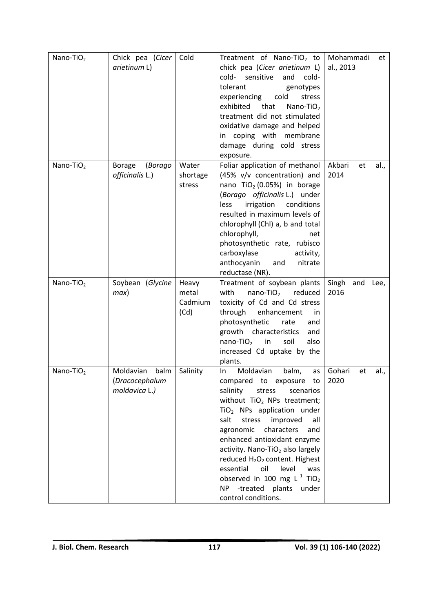| Nano-TiO $2$          | Chick pea (Cicer<br>arietinum L)                     | Cold                              | Treatment of Nano-TiO <sub>2</sub> to<br>chick pea (Cicer arietinum L)<br>sensitive<br>cold-<br>and<br>cold-<br>tolerant<br>genotypes<br>cold<br>experiencing<br>stress<br>exhibited<br>that<br>Nano-TiO $2$<br>treatment did not stimulated<br>oxidative damage and helped<br>in coping with membrane<br>damage during cold stress<br>exposure.                                                                                                                                                                                               | Mohammadi<br>et<br>al., 2013 |
|-----------------------|------------------------------------------------------|-----------------------------------|------------------------------------------------------------------------------------------------------------------------------------------------------------------------------------------------------------------------------------------------------------------------------------------------------------------------------------------------------------------------------------------------------------------------------------------------------------------------------------------------------------------------------------------------|------------------------------|
| Nano-TiO $2$          | (Borago<br><b>Borage</b><br>officinalis L.)          | Water<br>shortage<br>stress       | Foliar application of methanol<br>(45% v/v concentration) and<br>nano $TiO2$ (0.05%) in borage<br>(Borago officinalis L.) under<br>irrigation<br>conditions<br><b>less</b><br>resulted in maximum levels of<br>chlorophyll (Chl) a, b and total<br>chlorophyll,<br>net<br>photosynthetic rate, rubisco<br>carboxylase<br>activity,<br>anthocyanin<br>and<br>nitrate<br>reductase (NR).                                                                                                                                                         | Akbari<br>al.,<br>et<br>2014 |
| Nano-TiO $_2$         | Soybean (Glycine<br>max)                             | Heavy<br>metal<br>Cadmium<br>(Cd) | Treatment of soybean plants<br>$nano-TiO2$ reduced<br>with<br>toxicity of Cd and Cd stress<br>through<br>enhancement<br>in<br>photosynthetic<br>rate<br>and<br>growth characteristics<br>and<br>nano-TiO <sub>2</sub> in<br>soil<br>also<br>increased Cd uptake by the<br>plants.                                                                                                                                                                                                                                                              | Singh and Lee,<br>2016       |
| Nano-TiO <sub>2</sub> | Moldavian<br>balm<br>(Dracocephalum<br>moldavica L.) | Salinity                          | Moldavian<br>$\ln$<br>balm,<br>as<br>compared to exposure to<br>salinity<br>stress<br>scenarios<br>without TiO <sub>2</sub> NPs treatment;<br>TiO <sub>2</sub> NPs application under<br>stress<br>improved<br>salt<br>all<br>agronomic<br>characters<br>and<br>enhanced antioxidant enzyme<br>activity. Nano-TiO <sub>2</sub> also largely<br>reduced H <sub>2</sub> O <sub>2</sub> content. Highest<br>oil<br>level<br>essential<br>was<br>observed in 100 mg $L^{-1}$ TiO <sub>2</sub><br>NP -treated plants<br>under<br>control conditions. | Gohari<br>al.,<br>et<br>2020 |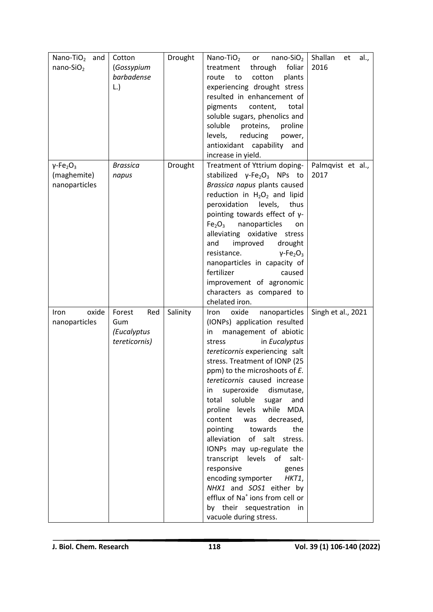| Nano-TiO $_2$ and                        | Cotton          | Drought  | Nano-TiO $_2$<br>$nano-SiO2$<br>or                                     | Shallan<br>al.,<br>et |
|------------------------------------------|-----------------|----------|------------------------------------------------------------------------|-----------------------|
| nano-SiO <sub>2</sub>                    | (Gossypium      |          | treatment<br>through<br>foliar                                         | 2016                  |
|                                          | barbadense      |          | to<br>cotton<br>plants<br>route                                        |                       |
|                                          | L.              |          | experiencing drought stress                                            |                       |
|                                          |                 |          | resulted in enhancement of                                             |                       |
|                                          |                 |          | pigments<br>content,<br>total                                          |                       |
|                                          |                 |          | soluble sugars, phenolics and                                          |                       |
|                                          |                 |          | soluble<br>proteins,<br>proline                                        |                       |
|                                          |                 |          | reducing<br>levels,<br>power,                                          |                       |
|                                          |                 |          | antioxidant capability<br>and                                          |                       |
|                                          |                 |          | increase in yield.                                                     |                       |
| $\gamma$ -Fe <sub>2</sub> O <sub>3</sub> | <b>Brassica</b> | Drought  | Treatment of Yttrium doping-                                           | Palmqvist et al.,     |
| (maghemite)                              | napus           |          | stabilized $\gamma$ -Fe <sub>2</sub> O <sub>3</sub> NPs to             | 2017                  |
| nanoparticles                            |                 |          | Brassica napus plants caused                                           |                       |
|                                          |                 |          | reduction in $H_2O_2$ and lipid                                        |                       |
|                                          |                 |          | peroxidation<br>levels,<br>thus                                        |                       |
|                                          |                 |          | pointing towards effect of $y$ -                                       |                       |
|                                          |                 |          | Fe <sub>2</sub> O <sub>3</sub><br>nanoparticles<br>on                  |                       |
|                                          |                 |          | alleviating oxidative<br>stress                                        |                       |
|                                          |                 |          | and<br>improved<br>drought                                             |                       |
|                                          |                 |          | resistance.<br>$v$ -Fe <sub>2</sub> O <sub>3</sub>                     |                       |
|                                          |                 |          | nanoparticles in capacity of                                           |                       |
|                                          |                 |          | fertilizer<br>caused                                                   |                       |
|                                          |                 |          | improvement of agronomic                                               |                       |
|                                          |                 |          | characters as compared to                                              |                       |
|                                          |                 |          | chelated iron.                                                         |                       |
| oxide<br>Iron                            | Forest<br>Red   | Salinity | oxide<br>nanoparticles<br>Iron                                         | Singh et al., 2021    |
| nanoparticles                            | Gum             |          | (IONPs) application resulted                                           |                       |
|                                          | (Eucalyptus     |          | management of abiotic<br>in                                            |                       |
|                                          | tereticornis)   |          | in Eucalyptus<br>stress                                                |                       |
|                                          |                 |          | tereticornis experiencing salt                                         |                       |
|                                          |                 |          | stress. Treatment of IONP (25                                          |                       |
|                                          |                 |          | ppm) to the microshoots of E.                                          |                       |
|                                          |                 |          | tereticornis caused increase                                           |                       |
|                                          |                 |          | superoxide<br>dismutase,<br>in.                                        |                       |
|                                          |                 |          | soluble<br>total<br>sugar<br>and<br>proline levels while<br><b>MDA</b> |                       |
|                                          |                 |          | content<br>decreased,<br>was                                           |                       |
|                                          |                 |          | pointing<br>towards<br>the                                             |                       |
|                                          |                 |          | of<br>salt<br>alleviation<br>stress.                                   |                       |
|                                          |                 |          | IONPs may up-regulate the                                              |                       |
|                                          |                 |          | transcript levels of salt-                                             |                       |
|                                          |                 |          | responsive<br>genes                                                    |                       |
|                                          |                 |          | encoding symporter<br>HKT1,                                            |                       |
|                                          |                 |          | NHX1 and SOS1 either by                                                |                       |
|                                          |                 |          | efflux of Na <sup>+</sup> ions from cell or                            |                       |
|                                          |                 |          | by their sequestration in                                              |                       |
|                                          |                 |          | vacuole during stress.                                                 |                       |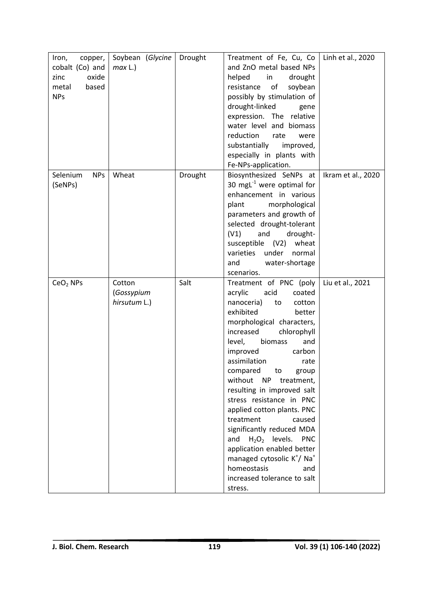| Iron,<br>copper,<br>cobalt (Co) and<br>zinc<br>oxide<br>metal<br>based<br><b>NPs</b> | Soybean (Glycine<br>max L.)          | Drought | Treatment of Fe, Cu, Co $\vert$<br>and ZnO metal based NPs<br>helped<br>in<br>drought<br>of<br>soybean<br>resistance<br>possibly by stimulation of<br>drought-linked<br>gene<br>expression. The relative                                                                                                                                                                                                                                                                                                                                                                                                                                              | Linh et al., 2020  |
|--------------------------------------------------------------------------------------|--------------------------------------|---------|-------------------------------------------------------------------------------------------------------------------------------------------------------------------------------------------------------------------------------------------------------------------------------------------------------------------------------------------------------------------------------------------------------------------------------------------------------------------------------------------------------------------------------------------------------------------------------------------------------------------------------------------------------|--------------------|
|                                                                                      |                                      |         | water level and biomass<br>reduction<br>rate<br>were<br>substantially<br>improved,<br>especially in plants with<br>Fe-NPs-application.                                                                                                                                                                                                                                                                                                                                                                                                                                                                                                                |                    |
| Selenium<br><b>NPs</b><br>(SeNPs)                                                    | Wheat                                | Drought | Biosynthesized SeNPs at<br>30 mgL $^{-1}$ were optimal for<br>enhancement in various<br>morphological<br>plant<br>parameters and growth of<br>selected drought-tolerant<br>(V1)<br>and<br>drought-<br>wheat<br>susceptible (V2)<br>varieties<br>under<br>normal<br>and<br>water-shortage<br>scenarios.                                                                                                                                                                                                                                                                                                                                                | Ikram et al., 2020 |
| $CeO2$ NPs                                                                           | Cotton<br>(Gossypium<br>hirsutum L.) | Salt    | Treatment of PNC (poly<br>acrylic<br>acid<br>coated<br>nanoceria)<br>to<br>cotton<br>exhibited<br>better<br>morphological characters,<br>increased<br>chlorophyll<br>biomass<br>level,<br>and<br>improved<br>carbon<br>assimilation<br>rate<br>compared<br>to<br>group<br>without<br><b>NP</b><br>treatment,<br>resulting in improved salt<br>stress resistance in PNC<br>applied cotton plants. PNC<br>treatment<br>caused<br>significantly reduced MDA<br>$H_2O_2$ levels.<br><b>PNC</b><br>and<br>application enabled better<br>managed cytosolic K <sup>+</sup> / Na <sup>+</sup><br>homeostasis<br>and<br>increased tolerance to salt<br>stress. | Liu et al., 2021   |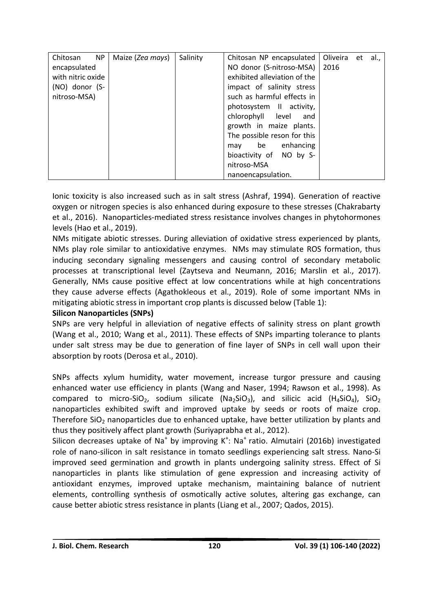| Chitosan<br>NP    | Maize (Zea mays) | Salinity | Chitosan NP encapsulated     | Oliveira | et | al., |
|-------------------|------------------|----------|------------------------------|----------|----|------|
| encapsulated      |                  |          | NO donor (S-nitroso-MSA)     | 2016     |    |      |
| with nitric oxide |                  |          | exhibited alleviation of the |          |    |      |
| (NO) donor (S-    |                  |          | impact of salinity stress    |          |    |      |
| nitroso-MSA)      |                  |          | such as harmful effects in   |          |    |      |
|                   |                  |          | photosystem II activity,     |          |    |      |
|                   |                  |          | chlorophyll level<br>and     |          |    |      |
|                   |                  |          | growth in maize plants.      |          |    |      |
|                   |                  |          | The possible reson for this  |          |    |      |
|                   |                  |          | be enhancing<br>may          |          |    |      |
|                   |                  |          | bioactivity of NO by S-      |          |    |      |
|                   |                  |          | nitroso-MSA                  |          |    |      |
|                   |                  |          | nanoencapsulation.           |          |    |      |

Ionic toxicity is also increased such as in salt stress (Ashraf, 1994). Generation of reactive oxygen or nitrogen species is also enhanced during exposure to these stresses (Chakrabarty et al., 2016). Nanoparticles-mediated stress resistance involves changes in phytohormones levels (Hao et al., 2019).

NMs mitigate abiotic stresses. During alleviation of oxidative stress experienced by plants, NMs play role similar to antioxidative enzymes. NMs may stimulate ROS formation, thus inducing secondary signaling messengers and causing control of secondary metabolic processes at transcriptional level (Zaytseva and Neumann, 2016; Marslin et al., 2017). Generally, NMs cause positive effect at low concentrations while at high concentrations they cause adverse effects (Agathokleous et al., 2019). Role of some important NMs in mitigating abiotic stress in important crop plants is discussed below (Table 1):

# **Silicon Nanoparticles (SNPs)**

SNPs are very helpful in alleviation of negative effects of salinity stress on plant growth (Wang et al., 2010; Wang et al., 2011). These effects of SNPs imparting tolerance to plants under salt stress may be due to generation of fine layer of SNPs in cell wall upon their absorption by roots (Derosa et al., 2010).

SNPs affects xylum humidity, water movement, increase turgor pressure and causing enhanced water use efficiency in plants (Wang and Naser, 1994; Rawson et al., 1998). As compared to micro-SiO<sub>2</sub>, sodium silicate (Na<sub>2</sub>SiO<sub>3</sub>), and silicic acid (H<sub>4</sub>SiO<sub>4</sub>), SiO<sub>2</sub> nanoparticles exhibited swift and improved uptake by seeds or roots of maize crop. Therefore  $SiO<sub>2</sub>$  nanoparticles due to enhanced uptake, have better utilization by plants and thus they positively affect plant growth (Suriyaprabha et al., 2012).

Silicon decreases uptake of Na<sup>+</sup> by improving K<sup>+</sup>: Na<sup>+</sup> ratio. Almutairi (2016b) investigated role of nano-silicon in salt resistance in tomato seedlings experiencing salt stress. Nano-Si improved seed germination and growth in plants undergoing salinity stress. Effect of Si nanoparticles in plants like stimulation of gene expression and increasing activity of antioxidant enzymes, improved uptake mechanism, maintaining balance of nutrient elements, controlling synthesis of osmotically active solutes, altering gas exchange, can cause better abiotic stress resistance in plants (Liang et al., 2007; Qados, 2015).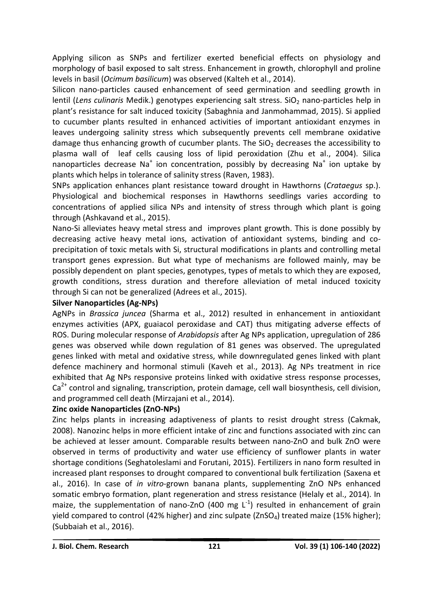Applying silicon as SNPs and fertilizer exerted beneficial effects on physiology and morphology of basil exposed to salt stress. Enhancement in growth, chlorophyll and proline levels in basil (*Ocimum basilicum*) was observed (Kalteh et al., 2014).

Silicon nano-particles caused enhancement of seed germination and seedling growth in lentil (Lens culinaris Medik.) genotypes experiencing salt stress. SiO<sub>2</sub> nano-particles help in plant's resistance for salt induced toxicity (Sabaghnia and Janmohammad, 2015). Si applied to cucumber plants resulted in enhanced activities of important antioxidant enzymes in leaves undergoing salinity stress which subsequently prevents cell membrane oxidative damage thus enhancing growth of cucumber plants. The  $SiO<sub>2</sub>$  decreases the accessibility to plasma wall of leaf cells causing loss of lipid peroxidation (Zhu et al., 2004). Silica nanoparticles decrease Na<sup>+</sup> ion concentration, possibly by decreasing Na<sup>+</sup> ion uptake by plants which helps in tolerance of salinity stress (Raven, 1983).

SNPs application enhances plant resistance toward drought in Hawthorns (*Crataegus* sp.). Physiological and biochemical responses in Hawthorns seedlings varies according to concentrations of applied silica NPs and intensity of stress through which plant is going through (Ashkavand et al., 2015).

Nano-Si alleviates heavy metal stress and improves plant growth. This is done possibly by decreasing active heavy metal ions, activation of antioxidant systems, binding and coprecipitation of toxic metals with Si, structural modifications in plants and controlling metal transport genes expression. But what type of mechanisms are followed mainly, may be possibly dependent on plant species, genotypes, types of metals to which they are exposed, growth conditions, stress duration and therefore alleviation of metal induced toxicity through Si can not be generalized (Adrees et al., 2015).

# **Silver Nanoparticles (Ag-NPs)**

AgNPs in *Brassica juncea* (Sharma et al., 2012) resulted in enhancement in antioxidant enzymes activities (APX, guaiacol peroxidase and CAT) thus mitigating adverse effects of ROS. During molecular response of *Arabidopsis* after Ag NPs application, upregulation of 286 genes was observed while down regulation of 81 genes was observed. The upregulated genes linked with metal and oxidative stress, while downregulated genes linked with plant defence machinery and hormonal stimuli (Kaveh et al., 2013). Ag NPs treatment in rice exhibited that Ag NPs responsive proteins linked with oxidative stress response processes,  $Ca<sup>2+</sup>$  control and signaling, transcription, protein damage, cell wall biosynthesis, cell division, and programmed cell death (Mirzajani et al., 2014).

# **Zinc oxide Nanoparticles (ZnO-NPs)**

Zinc helps plants in increasing adaptiveness of plants to resist drought stress (Cakmak, 2008). Nanozinc helps in more efficient intake of zinc and functions associated with zinc can be achieved at lesser amount. Comparable results between nano-ZnO and bulk ZnO were observed in terms of productivity and water use efficiency of sunflower plants in water shortage conditions (Seghatoleslami and Forutani, 2015). Fertilizers in nano form resulted in increased plant responses to drought compared to conventional bulk fertilization (Saxena et al., 2016). In case of *in vitro*-grown banana plants, supplementing ZnO NPs enhanced somatic embryo formation, plant regeneration and stress resistance (Helaly et al., 2014). In maize, the supplementation of nano-ZnO (400 mg  $L^{-1}$ ) resulted in enhancement of grain yield compared to control (42% higher) and zinc sulpate ( $ZnSO<sub>4</sub>$ ) treated maize (15% higher); (Subbaiah et al., 2016).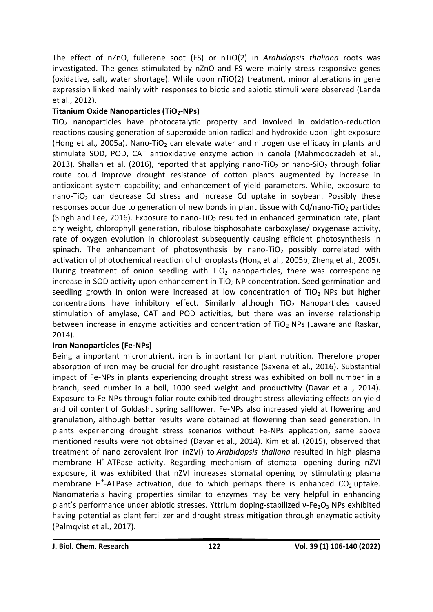The effect of nZnO, fullerene soot (FS) or nTiO(2) in *Arabidopsis thaliana* roots was investigated. The genes stimulated by nZnO and FS were mainly stress responsive genes (oxidative, salt, water shortage). While upon nTiO(2) treatment, minor alterations in gene expression linked mainly with responses to biotic and abiotic stimuli were observed (Landa et al., 2012).

# **Titanium Oxide Nanoparticles (TiO2-NPs)**

 $TiO<sub>2</sub>$  nanoparticles have photocatalytic property and involved in oxidation-reduction reactions causing generation of superoxide anion radical and hydroxide upon light exposure (Hong et al., 2005a). Nano-TiO<sub>2</sub> can elevate water and nitrogen use efficacy in plants and stimulate SOD, POD, CAT antioxidative enzyme action in canola (Mahmoodzadeh et al., 2013). Shallan et al. (2016), reported that applying nano-TiO<sub>2</sub> or nano-SiO<sub>2</sub> through foliar route could improve drought resistance of cotton plants augmented by increase in antioxidant system capability; and enhancement of yield parameters. While, exposure to nano-TiO<sub>2</sub> can decrease Cd stress and increase Cd uptake in soybean. Possibly these responses occur due to generation of new bonds in plant tissue with  $Cd/nano-TiO<sub>2</sub>$  particles (Singh and Lee, 2016). Exposure to nano-TiO<sub>2</sub> resulted in enhanced germination rate, plant dry weight, chlorophyll generation, ribulose bisphosphate carboxylase/ oxygenase activity, rate of oxygen evolution in chloroplast subsequently causing efficient photosynthesis in spinach. The enhancement of photosynthesis by nano-TiO<sub>2</sub> possibly correlated with activation of photochemical reaction of chloroplasts (Hong et al., 2005b; Zheng et al., 2005). During treatment of onion seedling with  $TiO<sub>2</sub>$  nanoparticles, there was corresponding increase in SOD activity upon enhancement in  $TiO<sub>2</sub> NP$  concentration. Seed germination and seedling growth in onion were increased at low concentration of  $TiO<sub>2</sub>$  NPs but higher concentrations have inhibitory effect. Similarly although  $TiO<sub>2</sub>$  Nanoparticles caused stimulation of amylase, CAT and POD activities, but there was an inverse relationship between increase in enzyme activities and concentration of  $TiO<sub>2</sub>$  NPs (Laware and Raskar, 2014).

# **Iron Nanoparticles (Fe-NPs)**

Being a important micronutrient, iron is important for plant nutrition. Therefore proper absorption of iron may be crucial for drought resistance (Saxena et al., 2016). Substantial impact of Fe-NPs in plants experiencing drought stress was exhibited on boll number in a branch, seed number in a boll, 1000 seed weight and productivity (Davar et al., 2014). Exposure to Fe-NPs through foliar route exhibited drought stress alleviating effects on yield and oil content of Goldasht spring safflower. Fe-NPs also increased yield at flowering and granulation, although better results were obtained at flowering than seed generation. In plants experiencing drought stress scenarios without Fe-NPs application, same above mentioned results were not obtained (Davar et al., 2014). Kim et al. (2015), observed that treatment of nano zerovalent iron (nZVI) to *Arabidopsis thaliana* resulted in high plasma membrane H<sup>+</sup>-ATPase activity. Regarding mechanism of stomatal opening during nZVI exposure, it was exhibited that nZVI increases stomatal opening by stimulating plasma membrane H<sup>+</sup>-ATPase activation, due to which perhaps there is enhanced  $CO<sub>2</sub>$  uptake. Nanomaterials having properties similar to enzymes may be very helpful in enhancing plant's performance under abiotic stresses. Yttrium doping-stabilized γ-Fe<sub>2</sub>O<sub>3</sub> NPs exhibited having potential as plant fertilizer and drought stress mitigation through enzymatic activity (Palmqvist et al., 2017).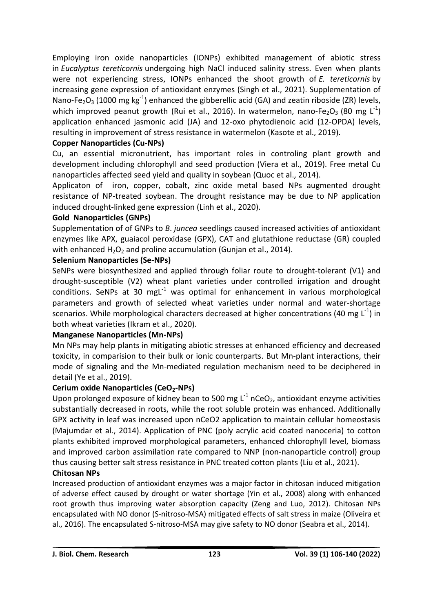Employing iron oxide nanoparticles (IONPs) exhibited management of abiotic stress in *Eucalyptus tereticornis* undergoing high NaCl induced salinity stress. Even when plants were not experiencing stress, IONPs enhanced the shoot growth of *E. tereticornis* by increasing gene expression of antioxidant enzymes (Singh et al., 2021). Supplementation of Nano-Fe<sub>2</sub>O<sub>3</sub> (1000 mg kg<sup>-1</sup>) enhanced the gibberellic acid (GA) and zeatin riboside (ZR) levels, which improved peanut growth (Rui et al., 2016). In watermelon, nano-Fe<sub>2</sub>O<sub>3</sub> (80 mg L<sup>-1</sup>) application enhanced jasmonic acid (JA) and 12-oxo phytodienoic acid (12-OPDA) levels, resulting in improvement of stress resistance in watermelon (Kasote et al., 2019).

# **Copper Nanoparticles (Cu-NPs)**

Cu, an essential micronutrient, has important roles in controling plant growth and development including chlorophyll and seed production (Viera et al., 2019). Free metal Cu nanoparticles affected seed yield and quality in soybean (Quoc et al., 2014).

Applicaton of iron, copper, cobalt, zinc oxide metal based NPs augmented drought resistance of NP-treated soybean. The drought resistance may be due to NP application induced drought-linked gene expression (Linh et al., 2020).

# **Gold Nanoparticles (GNPs)**

Supplementation of of GNPs to *B*. *juncea* seedlings caused increased activities of antioxidant enzymes like APX, guaiacol peroxidase (GPX), CAT and glutathione reductase (GR) coupled with enhanced  $H_2O_2$  and proline accumulation (Gunjan et al., 2014).

# **Selenium Nanoparticles (Se-NPs)**

SeNPs were biosynthesized and applied through foliar route to drought-tolerant (V1) and drought-susceptible (V2) wheat plant varieties under controlled irrigation and drought conditions. SeNPs at 30 mgL $^{-1}$  was optimal for enhancement in various morphological parameters and growth of selected wheat varieties under normal and water-shortage scenarios. While morphological characters decreased at higher concentrations (40 mg  $\textsf{L}^{\text{-1}}$ ) in both wheat varieties (Ikram et al., 2020).

# **Manganese Nanoparticles (Mn-NPs)**

Mn NPs may help plants in mitigating abiotic stresses at enhanced efficiency and decreased toxicity, in comparision to their bulk or ionic counterparts. But Mn-plant interactions, their mode of signaling and the Mn-mediated regulation mechanism need to be deciphered in detail (Ye et al., 2019).

# **Cerium oxide Nanoparticles (CeO2-NPs)**

Upon prolonged exposure of kidney bean to 500 mg  $L^{-1}$  nCeO<sub>2</sub>, antioxidant enzyme activities substantially decreased in roots, while the root soluble protein was enhanced. Additionally GPX activity in leaf was increased upon nCeO2 application to maintain cellular homeostasis (Majumdar et al., 2014). Application of PNC (poly acrylic acid coated nanoceria) to cotton plants exhibited improved morphological parameters, enhanced chlorophyll level, biomass and improved carbon assimilation rate compared to NNP (non-nanoparticle control) group thus causing better salt stress resistance in PNC treated cotton plants (Liu et al., 2021).

# **Chitosan NPs**

Increased production of antioxidant enzymes was a major factor in chitosan induced mitigation of adverse effect caused by drought or water shortage (Yin et al., 2008) along with enhanced root growth thus improving water absorption capacity (Zeng and Luo, 2012). Chitosan NPs encapsulated with NO donor (S-nitroso-MSA) mitigated effects of salt stress in maize (Oliveira et al., 2016). The encapsulated S-nitroso-MSA may give safety to NO donor (Seabra et al., 2014).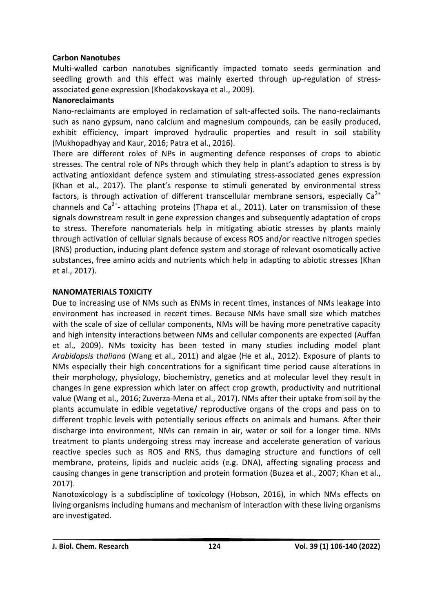# **Carbon Nanotubes**

Multi-walled carbon nanotubes significantly impacted tomato seeds germination and seedling growth and this effect was mainly exerted through up-regulation of stressassociated gene expression (Khodakovskaya et al., 2009).

# **Nanoreclaimants**

Nano-reclaimants are employed in reclamation of salt-affected soils. The nano-reclaimants such as nano gypsum, nano calcium and magnesium compounds, can be easily produced, exhibit efficiency, impart improved hydraulic properties and result in soil stability (Mukhopadhyay and Kaur, 2016; Patra et al., 2016).

There are different roles of NPs in augmenting defence responses of crops to abiotic stresses. The central role of NPs through which they help in plant's adaption to stress is by activating antioxidant defence system and stimulating stress-associated genes expression (Khan et al., 2017). The plant's response to stimuli generated by environmental stress factors, is through activation of different transcellular membrane sensors, especially  $Ca^{2+}$ channels and Ca<sup>2+</sup>- attaching proteins (Thapa et al., 2011). Later on transmission of these signals downstream result in gene expression changes and subsequently adaptation of crops to stress. Therefore nanomaterials help in mitigating abiotic stresses by plants mainly through activation of cellular signals because of excess ROS and/or reactive nitrogen species (RNS) production, inducing plant defence system and storage of relevant osomotically active substances, free amino acids and nutrients which help in adapting to abiotic stresses (Khan et al., 2017).

# **NANOMATERIALS TOXICITY**

Due to increasing use of NMs such as ENMs in recent times, instances of NMs leakage into environment has increased in recent times. Because NMs have small size which matches with the scale of size of cellular components, NMs will be having more penetrative capacity and high intensity interactions between NMs and cellular components are expected (Auffan et al., 2009). NMs toxicity has been tested in many studies including model plant *Arabidopsis thaliana* (Wang et al., 2011) and algae (He et al., 2012). Exposure of plants to NMs especially their high concentrations for a significant time period cause alterations in their morphology, physiology, biochemistry, genetics and at molecular level they result in changes in gene expression which later on affect crop growth, productivity and nutritional value (Wang et al., 2016; Zuverza-Mena et al., 2017). NMs after their uptake from soil by the plants accumulate in edible vegetative/ reproductive organs of the crops and pass on to different trophic levels with potentially serious effects on animals and humans. After their discharge into environment, NMs can remain in air, water or soil for a longer time. NMs treatment to plants undergoing stress may increase and accelerate generation of various reactive species such as ROS and RNS, thus damaging structure and functions of cell membrane, proteins, lipids and nucleic acids (e.g. DNA), affecting signaling process and causing changes in gene transcription and protein formation (Buzea et al., 2007; Khan et al., 2017).

Nanotoxicology is a subdiscipline of toxicology (Hobson, 2016), in which NMs effects on living organisms including humans and mechanism of interaction with these living organisms are investigated.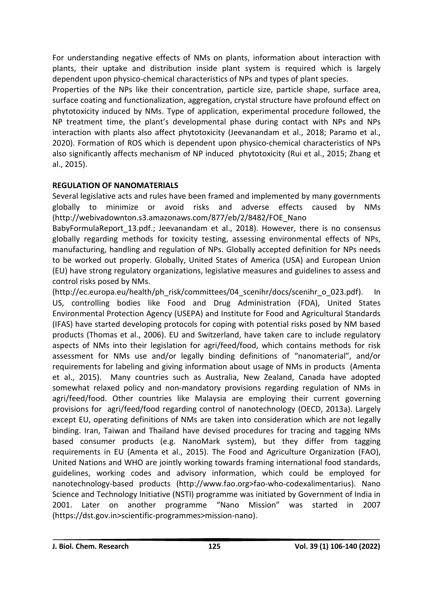For understanding negative effects of NMs on plants, information about interaction with plants, their uptake and distribution inside plant system is required which is largely dependent upon physico-chemical characteristics of NPs and types of plant species.

Properties of the NPs like their concentration, particle size, particle shape, surface area, surface coating and functionalization, aggregation, crystal structure have profound effect on phytotoxicity induced by NMs. Type of application, experimental procedure followed, the NP treatment time, the plant's developmental phase during contact with NPs and NPs interaction with plants also affect phytotoxicity (Jeevanandam et al., 2018; Paramo et al., 2020). Formation of ROS which is dependent upon physico-chemical characteristics of NPs also significantly affects mechanism of NP induced phytotoxicity (Rui et al., 2015; Zhang et al., 2015).

# **REGULATION OF NANOMATERIALS**

Several legislative acts and rules have been framed and implemented by many governments globally to minimize or avoid risks and adverse effects caused by NMs [\(http://webivad](http://webiva/)ownton.s3.amazonaws.com/877/eb/2/8482/FOE\_Nano

BabyFormulaReport\_13.pdf.; Jeevanandam et al., 2018). However, there is no consensus globally regarding methods for toxicity testing, assessing environmental effects of NPs, manufacturing, handling and regulation of NPs. Globally accepted definition for NPs needs to be worked out properly. Globally, United States of America (USA) and European Union (EU) have strong regulatory organizations, legislative measures and guidelines to assess and control risks posed by NMs.

[\(http://ec.europa.eu/health/ph\\_risk/committees/04\\_scenihr/docs/scenihr\\_o\\_023.pdf\)](http://ec.europa.eu/health/ph_risk/committees/04_scenihr/docs/scenihr_o_023.pdf). In US, controlling bodies like Food and Drug Administration (FDA), United States Environmental Protection Agency (USEPA) and Institute for Food and Agricultural Standards (IFAS) have started developing protocols for coping with potential risks posed by NM based products (Thomas et al., 2006). EU and Switzerland, have taken care to include regulatory aspects of NMs into their legislation for agri/feed/food, which contains methods for risk assessment for NMs use and/or legally binding definitions of "nanomaterial", and/or requirements for labeling and giving information about usage of NMs in products (Amenta et al., 2015). Many countries such as Australia, New Zealand, Canada have adopted somewhat relaxed policy and non-mandatory provisions regarding regulation of NMs in agri/feed/food. Other countries like Malaysia are employing their current governing provisions for agri/feed/food regarding control of nanotechnology (OECD, 2013a). Largely except EU, operating definitions of NMs are taken into consideration which are not legally binding. Iran, Taiwan and Thailand have devised procedures for tracing and tagging NMs based consumer products (e.g. NanoMark system), but they differ from tagging requirements in EU (Amenta et al., 2015). The Food and Agriculture Organization (FAO), United Nations and WHO are jointly working towards framing international food standards, guidelines, working codes and advisory information, which could be employed for nanotechnology-based products (http://www.fao.org>fao-who-codexalimentarius). Nano Science and Technology Initiative (NSTI) programme was initiated by Government of India in 2001. Later on another programme "Nano Mission" was started in 2007 (https://dst.gov.in>scientific-programmes>mission-nano).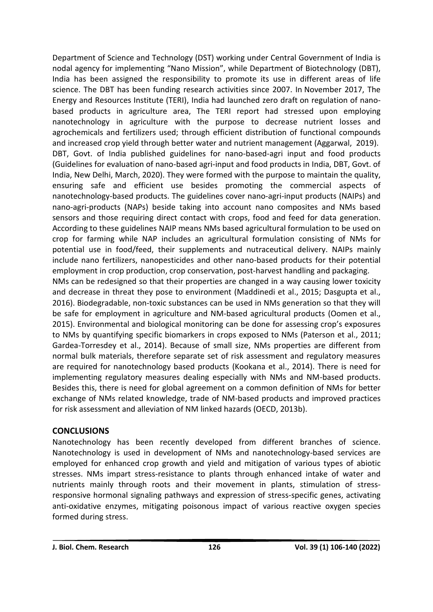Department of Science and Technology (DST) working under Central Government of India is nodal agency for implementing "Nano Mission", while Department of Biotechnology (DBT), India has been assigned the responsibility to promote its use in different areas of life science. The DBT has been funding research activities since 2007. In November 2017, The Energy and Resources Institute (TERI), India had launched [zero draft](https://www.teriin.org/sites/default/files/2018-03/zero-draft-policy.pdf) on regulation of nanobased products in agriculture area, The TERI report had stressed upon employing nanotechnology in agriculture with the purpose to decrease nutrient losses and agrochemicals and fertilizers used; through efficient distribution of functional compounds and increased crop yield through better water and nutrient management [\(Aggarwal,](https://india.mongabay.com/by/mayank-aggarwal/) 2019). [DBT,](http://dbtindia.gov.in/) Govt. of India published guidelines for nano-based-agri input and food products (Guidelines for evaluation of nano-based agri-input and food products in India, DBT, Govt. of India, New Delhi, March, 2020). They were formed with the purpose to maintain the quality, ensuring safe and efficient use besides promoting the commercial aspects of nanotechnology-based products. The guidelines cover nano-agri-input products (NAIPs) and nano-agri-products (NAPs) beside taking into account nano composites and NMs based sensors and those requiring direct contact with crops, food and feed for data generation. According to these guidelines NAIP means NMs based agricultural formulation to be used on crop for farming while NAP includes an agricultural formulation consisting of NMs for potential use in food/feed, their supplements and nutraceutical delivery. NAIPs mainly include nano fertilizers, nanopesticides and other nano-based products for their potential employment in crop production, crop conservation, post-harvest handling and packaging. NMs can be redesigned so that their properties are changed in a way causing lower toxicity and decrease in threat they pose to environment (Maddinedi et al., 2015; Dasgupta et al., 2016). Biodegradable, non-toxic substances can be used in NMs generation so that they will be safe for employment in agriculture and NM-based agricultural products (Oomen et al., 2015). Environmental and biological monitoring can be done for assessing crop's exposures to NMs by quantifying specific biomarkers in crops exposed to NMs (Paterson et al., 2011; Gardea-Torresdey et al., 2014). Because of small size, NMs properties are different from normal bulk materials, therefore separate set of risk assessment and regulatory measures are required for nanotechnology based products (Kookana et al., 2014). There is need for

implementing regulatory measures dealing especially with NMs and NM-based products. Besides this, there is need for global agreement on a common definition of NMs for better exchange of NMs related knowledge, trade of NM-based products and improved practices for risk assessment and alleviation of NM linked hazards (OECD, 2013b).

# **CONCLUSIONS**

Nanotechnology has been recently developed from different branches of science. Nanotechnology is used in development of NMs and nanotechnology-based services are employed for enhanced crop growth and yield and mitigation of various types of abiotic stresses. NMs impart stress-resistance to plants through enhanced intake of water and nutrients mainly through roots and their movement in plants, stimulation of stressresponsive hormonal signaling pathways and expression of stress-specific genes, activating anti-oxidative enzymes, mitigating poisonous impact of various reactive oxygen species formed during stress.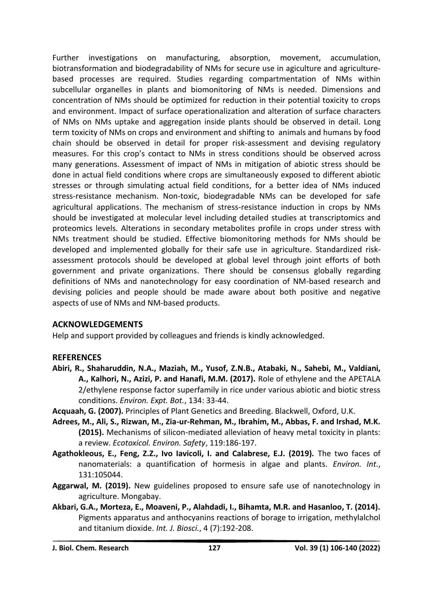Further investigations on manufacturing, absorption, movement, accumulation, biotransformation and biodegradability of NMs for secure use in agiculture and agriculturebased processes are required. Studies regarding compartmentation of NMs within subcellular organelles in plants and biomonitoring of NMs is needed. Dimensions and concentration of NMs should be optimized for reduction in their potential toxicity to crops and environment. Impact of surface operationalization and alteration of surface characters of NMs on NMs uptake and aggregation inside plants should be observed in detail. Long term toxicity of NMs on crops and environment and shifting to animals and humans by food chain should be observed in detail for proper risk-assessment and devising regulatory measures. For this crop's contact to NMs in stress conditions should be observed across many generations. Assessment of impact of NMs in mitigation of abiotic stress should be done in actual field conditions where crops are simultaneously exposed to different abiotic stresses or through simulating actual field conditions, for a better idea of NMs induced stress-resistance mechanism. Non-toxic, biodegradable NMs can be developed for safe agricultural applications. The mechanism of stress-resistance induction in crops by NMs should be investigated at molecular level including detailed studies at transcriptomics and proteomics levels. Alterations in secondary metabolites profile in crops under stress with NMs treatment should be studied. Effective biomonitoring methods for NMs should be developed and implemented globally for their safe use in agriculture. Standardized riskassessment protocols should be developed at global level through joint efforts of both government and private organizations. There should be consensus globally regarding definitions of NMs and nanotechnology for easy coordination of NM-based research and devising policies and people should be made aware about both positive and negative aspects of use of NMs and NM-based products.

# **ACKNOWLEDGEMENTS**

Help and support provided by colleagues and friends is kindly acknowledged.

# **REFERENCES**

- **Abiri, R., Shaharuddin, N.A., Maziah, M., Yusof, Z.N.B., Atabaki, N., Sahebi, M., Valdiani, A., Kalhori, N., Azizi, P. and Hanafi, M.M. (2017).** Role of ethylene and the APETALA 2/ethylene response factor superfamily in rice under various abiotic and biotic stress conditions. *Environ. Expt. Bot.*, 134: 33-44.
- **Acquaah, G. (2007).** Principles of Plant Genetics and Breeding. Blackwell, Oxford, U.K.
- **Adrees, M., Ali, S., Rizwan, M., Zia-ur-Rehman, M., Ibrahim, M., Abbas, F. and Irshad, M.K. (2015).** Mechanisms of silicon-mediated alleviation of heavy metal toxicity in plants: a review. *Ecotoxicol. Environ. Safety*, 119:186-197.
- **Agathokleous, E., Feng, Z.Z., Ivo Iavicoli, I. and Calabrese, E.J. (2019).** The two faces of nanomaterials: a quantification of hormesis in algae and plants. *Environ. Int.*, 131:105044.
- **[Aggarwal,](https://india.mongabay.com/by/mayank-aggarwal/) M. (2019).** New guidelines proposed to ensure safe use of nanotechnology in agriculture. Mongabay.
- **Akbari, G.A., Morteza, E., Moaveni, P., Alahdadi, I., Bihamta, M.R. and Hasanloo, T. (2014).** Pigments apparatus and anthocyanins reactions of borage to irrigation, methylalchol and titanium dioxide. *Int. J. Biosci.*, 4 (7):192-208.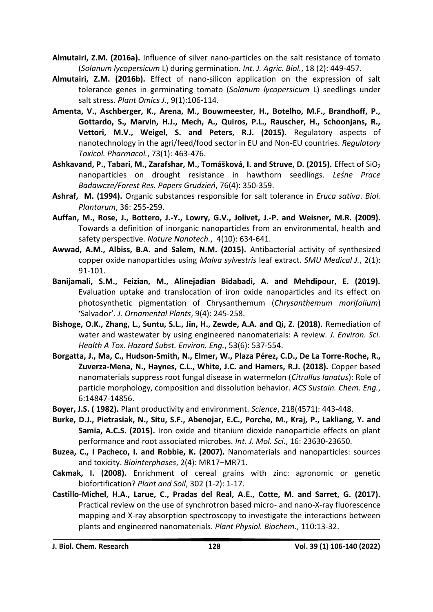- **Almutairi, Z.M. (2016a).** Influence of silver nano-particles on the salt resistance of tomato (*Solanum lycopersicum* L) during germination. *Int. J. Agric. Biol.*, 18 (2): 449-457.
- **Almutairi, Z.M. (2016b).** Effect of nano-silicon application on the expression of salt tolerance genes in germinating tomato (*Solanum lycopersicum* L) seedlings under salt stress. *Plant Omics J.*, 9(1):106-114.
- **Amenta, V., Aschberger, K., Arena, M., Bouwmeester, H., Botelho, M.F., Brandhoff, P., Gottardo, S., Marvin, H.J., Mech, A., Quiros, P.L., Rauscher, H., Schoonjans, R., Vettori, M.V., Weigel, S. and Peters, R.J. (2015).** Regulatory aspects of nanotechnology in the agri/feed/food sector in EU and Non-EU countries. *Regulatory Toxicol. Pharmacol.*, 73(1): 463-476.
- Ashkavand, P., Tabari, M., Zarafshar, M., Tomášková, I. and Struve, D. (2015). *Effect of SiO*<sub>2</sub> nanoparticles on drought resistance in hawthorn seedlings. *Leśne Prace Badawcze/Forest Res. Papers Grudzień*, 76(4): 350-359.
- **Ashraf, M. (1994).** Organic substances responsible for salt tolerance in *Eruca sativa*. *Biol. Plantarum*, 36: 255-259.
- **Auffan, M., Rose, J., Bottero, J.-Y., Lowry, G.V., Jolivet, J.-P. and Weisner, M.R. (2009).** Towards a definition of inorganic nanoparticles from an environmental, health and safety perspective. *Nature Nanotech.*, 4(10): 634-641.
- **Awwad, A.M., Albiss, B.A. and Salem, N.M. (2015).** Antibacterial activity of synthesized copper oxide nanoparticles using *Malva sylvestris* leaf extract. *SMU Medical J.*, 2(1): 91-101.
- **Banijamali, S.M., Feizian, M., Alinejadian Bidabadi, A. and Mehdipour, E. (2019).** Evaluation uptake and translocation of iron oxide nanoparticles and its effect on photosynthetic pigmentation of Chrysanthemum (*Chrysanthemum morifolium*) 'Salvador'. *J. Ornamental Plants*, 9(4): 245-258.
- **Bishoge, O.K., Zhang, L., Suntu, S.L., Jin, H., Zewde, A.A. and Qi, Z. (2018).** Remediation of water and wastewater by using engineered nanomaterials: A review. *J. Environ. Sci. Health A Tox. Hazard Subst. Environ. Eng.*, 53(6): 537-554.
- **Borgatta, J., Ma, C., Hudson-Smith, N., Elmer, W., Plaza Pérez, C.D., De La Torre-Roche, R., Zuverza-Mena, N., Haynes, C.L., White, J.C. and Hamers, R.J. (2018).** Copper based nanomaterials suppress root fungal disease in watermelon (*Citrullus lanatus*): Role of particle morphology, composition and dissolution behavior. *ACS Sustain. Chem. Eng.*, 6:14847-14856.
- **Boyer, J.S. ( 1982).** Plant productivity and environment. *Science*, 218(4571): 443-448.
- **Burke, D.J., Pietrasiak, N., Situ, S.F., Abenojar, E.C., Porche, M., Kraj, P., Lakliang, Y. and Samia, A.C.S. (2015).** Iron oxide and titanium dioxide nanoparticle effects on plant performance and root associated microbes. *Int. J. Mol. Sci.*, 16: 23630-23650.
- **Buzea, C., I Pacheco, I. and Robbie, K. (2007).** Nanomaterials and nanoparticles: sources and toxicity. *Biointerphases*, 2(4): MR17–MR71.
- **Cakmak, I. (2008).** Enrichment of cereal grains with zinc: agronomic or genetic biofortification? *Plant and Soil*, 302 (1-2): 1-17.
- **Castillo-Michel, H.A., Larue, C., Pradas del Real, A.E., Cotte, M. and Sarret, G. (2017).** Practical review on the use of synchrotron based micro- and nano-X-ray fluorescence mapping and X-ray absorption spectroscopy to investigate the interactions between plants and engineered nanomaterials. *Plant Physiol. Biochem.*, 110:13-32.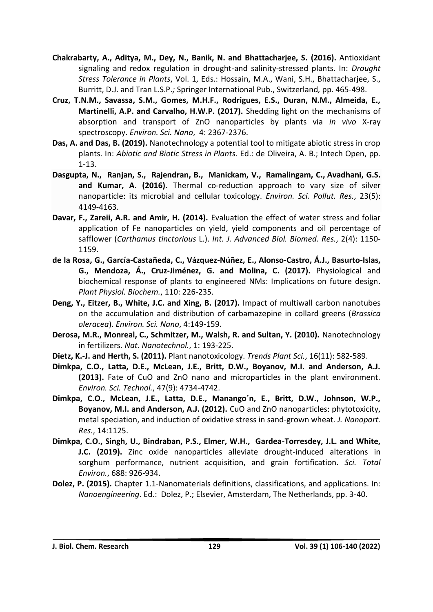- **Chakrabarty, A., Aditya, M., Dey, N., Banik, N. and Bhattacharjee, S. (2016).** Antioxidant signaling and redox regulation in drought-and salinity-stressed plants. In: *Drought Stress Tolerance in Plants*, Vol. 1, Eds.: Hossain, M.A., Wani, S.H., Bhattacharjee, S., Burritt, D.J. and Tran L.S.P.*;* Springer International Pub., Switzerland*,* pp. 465-498.
- **Cruz, T.N.M., Savassa, S.M., Gomes, M.H.F., Rodrigues, E.S., Duran, N.M., Almeida, E., Martinelli, A.P. and Carvalho, H.W.P. (2017).** Shedding light on the mechanisms of absorption and transport of ZnO nanoparticles by plants via *in vivo* X-ray spectroscopy. *Environ. Sci. Nano*, 4: 2367-2376.
- **Das, A. and Das, B. (2019).** Nanotechnology a potential tool to mitigate abiotic stress in crop plants. In: *Abiotic and Biotic Stress in Plants*. Ed.: de Oliveira, A. B.; Intech Open, pp. 1-13.
- **Dasgupta, N., [Ranjan,](https://link.springer.com/article/10.1007/s11356-015-4570-z#auth-Shivendu-Ranjan) S., [Rajendran,](https://link.springer.com/article/10.1007/s11356-015-4570-z#auth-Bhavapriya-Rajendran) B., [Manickam,](https://link.springer.com/article/10.1007/s11356-015-4570-z#auth-Venkatraman-Manickam) V., [Ramalingam,](https://link.springer.com/article/10.1007/s11356-015-4570-z#auth-Chidambaram-Ramalingam) C., [Avadhani,](https://link.springer.com/article/10.1007/s11356-015-4570-z#auth-Ganesh_S_-Avadhani) G.S. and [Kumar,](https://link.springer.com/article/10.1007/s11356-015-4570-z#auth-Ashutosh-Kumar) A. (2016).** Thermal co-reduction approach to vary size of silver nanoparticle: its microbial and cellular toxicology. *Environ. Sci. Pollut. Res.*, 23(5): 4149-4163.
- **Davar, F., Zareii, A.R. and Amir, H. (2014).** Evaluation the effect of water stress and foliar application of Fe nanoparticles on yield, yield components and oil percentage of safflower (*Carthamus tinctorious* L.). *Int. J. Advanced Biol. Biomed. Res.*, 2(4): 1150- 1159.
- **de la Rosa, G., García-Castañeda, C., Vázquez-Núñez, E., Alonso-Castro, Á.J., Basurto-Islas, G., Mendoza, Á., Cruz-Jiménez, G. and Molina, C. (2017).** Physiological and biochemical response of plants to engineered NMs: Implications on future design. *Plant Physiol. Biochem.*, 110: 226-235.
- **Deng, Y., Eitzer, B., White, J.C. and Xing, B. (2017).** Impact of multiwall carbon nanotubes on the accumulation and distribution of carbamazepine in collard greens (*Brassica oleracea*). *Environ. Sci. Nano*, 4:149-159.
- **Derosa, M.R., Monreal, C., Schmitzer, M., Walsh, R. and Sultan, Y. (2010).** Nanotechnology in fertilizers. *Nat. Nanotechnol.*, 1: 193-225.
- **Dietz, K.-J. and Herth, S. (2011).** Plant nanotoxicology. *Trends Plant Sci.*, 16(11): 582-589.
- **Dimkpa, C.O., Latta, D.E., McLean, J.E., Britt, D.W., Boyanov, M.I. and Anderson, A.J. (2013).** Fate of CuO and ZnO nano and microparticles in the plant environment. *Environ. Sci. Technol.*, 47(9): 4734-4742.
- **Dimkpa, C.O., McLean, J.E., Latta, D.E., Manango´n, E., Britt, D.W., Johnson, W.P., Boyanov, M.I. and Anderson, A.J. (2012).** CuO and ZnO nanoparticles: phytotoxicity, metal speciation, and induction of oxidative stress in sand-grown wheat*. J. Nanopart. Res.*, 14:1125.
- **Dimkpa, C.O., Singh, U., Bindraban, P.S., Elmer, W.H., Gardea-Torresdey, J.L. and White, J.C. (2019).** Zinc oxide nanoparticles alleviate drought-induced alterations in sorghum performance, nutrient acquisition, and grain fortification. *Sci. Total Environ.*, 688: 926-934.
- **Dolez, P. (2015).** Chapter 1.1-Nanomaterials definitions, classifications, and applications. In: *Nanoengineering*. Ed.: Dolez, P.; Elsevier, Amsterdam, The Netherlands, pp. 3-40.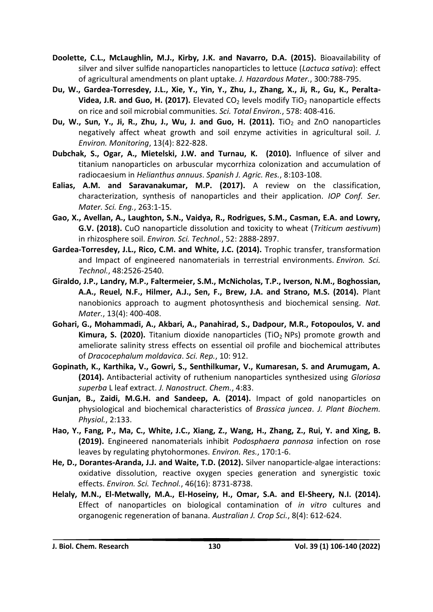- **Doolette, C.L., McLaughlin, M.J., Kirby, J.K. and Navarro, D.A. (2015).** Bioavailability of silver and silver sulfide nanoparticles nanoparticles to lettuce (*Lactuca sativa*): effect of agricultural amendments on plant uptake. *J. Hazardous Mater.*, 300:788-795.
- **Du, W., Gardea-Torresdey, J.L., Xie, Y., Yin, Y., Zhu, J., Zhang, X., Ji, R., Gu, K., Peralta-Videa, J.R. and Guo, H. (2017).** Elevated CO<sub>2</sub> levels modify TiO<sub>2</sub> nanoparticle effects on rice and soil microbial communities. *Sci. Total Environ.*, 578: 408-416.
- **Du, W., Sun, Y., Ji, R., Zhu, J., Wu, J. and Guo, H. (2011).** TiO<sub>2</sub> and ZnO nanoparticles negatively affect wheat growth and soil enzyme activities in agricultural soil. *J. Environ. Monitoring*, 13(4): 822-828.
- **Dubchak, S., Ogar, A., Mietelski, J.W. and Turnau, K. (2010).** Influence of silver and titanium nanoparticles on arbuscular mycorrhiza colonization and accumulation of radiocaesium in *Helianthus annuus*. *Spanish J. Agric. Res.*, 8:103-108.
- **Ealias, A.M. and Saravanakumar, M.P. (2017).** A review on the classification, characterization, synthesis of nanoparticles and their application. *IOP Conf. Ser. Mater. Sci. Eng.*, 263:1-15.
- **Gao, X., Avellan, A., Laughton, S.N., Vaidya, R., Rodrigues, S.M., Casman, E.A. and Lowry, G.V. (2018).** CuO nanoparticle dissolution and toxicity to wheat (*Triticum aestivum*) in rhizosphere soil. *Environ. Sci. Technol.*, 52: 2888-2897.
- **Gardea-Torresdey, J.L., Rico, C.M. and White, J.C. (2014).** Trophic transfer, transformation and Impact of engineered nanomaterials in terrestrial environments. *Environ. Sci. Technol.*, 48:2526-2540.
- **Giraldo, J.P., Landry, M.P., Faltermeier, S.M., McNicholas, T.P., Iverson, N.M., Boghossian, A.A., Reuel, N.F., Hilmer, A.J., Sen, F., Brew, J.A. and Strano, M.S. (2014).** Plant nanobionics approach to augment photosynthesis and biochemical sensing. *Nat. Mater.*, 13(4): 400-408.
- **Gohari, G., Mohammadi, A., Akbari, A., Panahirad, S., Dadpour, M.R., Fotopoulos, V. and Kimura, S. (2020).** Titanium dioxide nanoparticles (TiO<sub>2</sub> NPs) promote growth and ameliorate salinity stress effects on essential oil profile and biochemical attributes of *Dracocephalum moldavica*. *Sci. Rep.*, 10: 912.
- **Gopinath, K., Karthika, V., Gowri, S., Senthilkumar, V., Kumaresan, S. and Arumugam, A. (2014).** Antibacterial activity of ruthenium nanoparticles synthesized using *Gloriosa superba* L leaf extract. *J. Nanostruct. Chem.*, 4:83.
- **Gunjan, B., Zaidi, M.G.H. and Sandeep, A. (2014).** Impact of gold nanoparticles on physiological and biochemical characteristics of *Brassica juncea*. *J. Plant Biochem. Physiol.*, 2:133.
- **Hao, Y., Fang, P., Ma, C., White, J.C., Xiang, Z., Wang, H., Zhang, Z., Rui, Y. and Xing, B. (2019).** Engineered nanomaterials inhibit *Podosphaera pannosa* infection on rose leaves by regulating phytohormones. *Environ. Res.*, 170:1-6.
- **He, D., Dorantes-Aranda, J.J. and Waite, T.D. (2012).** Silver nanoparticle-algae interactions: oxidative dissolution, reactive oxygen species generation and synergistic toxic effects. *Environ. Sci. Technol.*, 46(16): 8731-8738.
- **Helaly, M.N., El-Metwally, M.A., El-Hoseiny, H., Omar, S.A. and El-Sheery, N.I. (2014).** Effect of nanoparticles on biological contamination of *in vitro* cultures and organogenic regeneration of banana. *Australian J. Crop Sci.*, 8(4): 612-624.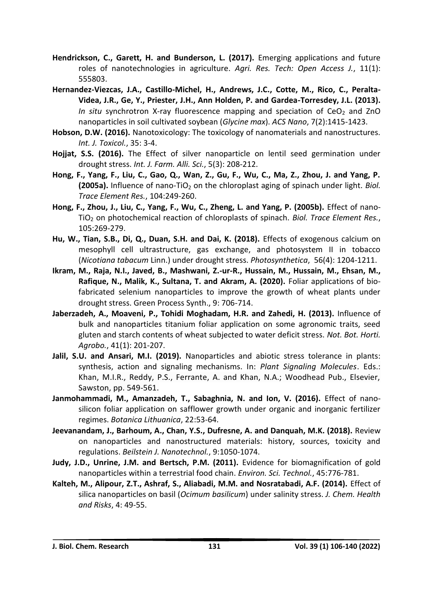- **Hendrickson, C., Garett, H. and Bunderson, L. (2017).** Emerging applications and future roles of nanotechnologies in agriculture. *Agri. Res. Tech: Open Access J.*, 11(1): 555803.
- **Hernandez-Viezcas, J.A., Castillo-Michel, H., Andrews, J.C., Cotte, M., Rico, C., Peralta-Videa, J.R., Ge, Y., Priester, J.H., Ann Holden, P. and Gardea-Torresdey, J.L. (2013).** *In situ* synchrotron X-ray fluorescence mapping and speciation of CeO<sub>2</sub> and ZnO nanoparticles in soil cultivated soybean (*Glycine max*). *ACS Nano*, 7(2):1415-1423.
- **Hobson, D.W. (2016).** Nanotoxicology: The toxicology of nanomaterials and nanostructures. *Int. J. Toxicol.*, 35: 3-4.
- **Hojjat, S.S. (2016).** The Effect of silver nanoparticle on lentil seed germination under drought stress. *Int. J. Farm. Alli. Sci.*, 5(3): 208-212.
- **Hong, F., Yang, F., Liu, C., Gao, Q., Wan, Z., Gu, F., Wu, C., Ma, Z., Zhou, J. and Yang, P. (2005a).** Influence of nano-TiO<sub>2</sub> on the chloroplast aging of spinach under light. *Biol. Trace Element Res.*, 104:249-260.
- **Hong, F., Zhou, J., Liu, C., Yang, F., Wu, C., Zheng, L. and Yang, P. (2005b).** Effect of nano-TiO<sup>2</sup> on photochemical reaction of chloroplasts of spinach. *Biol. Trace Element Res.*, 105:269-279.
- **Hu, W., Tian, S.B., Di, Q., Duan, S.H. and Dai, K. (2018).** Effects of exogenous calcium on mesophyll cell ultrastructure, gas exchange, and photosystem II in tobacco (*Nicotiana tabacum* Linn.) under drought stress. *Photosynthetica*, 56(4): 1204-1211.
- **Ikram, M., Raja, N.I., Javed, B., Mashwani, Z.-ur-R., Hussain, M., Hussain, M., Ehsan, M., Rafique, N., Malik, K., Sultana, T. and Akram, A. (2020).** Foliar applications of biofabricated selenium nanoparticles to improve the growth of wheat plants under drought stress. Green Process Synth., 9: 706-714.
- **Jaberzadeh, A., Moaveni, P., Tohidi Moghadam, H.R. and Zahedi, H. (2013).** Influence of bulk and nanoparticles titanium foliar application on some agronomic traits, seed gluten and starch contents of wheat subjected to water deficit stress. *Not. Bot. Horti. Agrobo.*, 41(1): 201-207.
- **Jalil, S.U. and Ansari, M.I. (2019).** Nanoparticles and abiotic stress tolerance in plants: synthesis, action and signaling mechanisms. In: *Plant Signaling Molecules*. Eds.: Khan, M.I.R., Reddy, P.S., Ferrante, A. and Khan, N.A.; Woodhead Pub., Elsevier, Sawston, pp. 549-561.
- **Janmohammadi, M., Amanzadeh, T., Sabaghnia, N. and Ion, V. (2016).** Effect of nanosilicon foliar application on safflower growth under organic and inorganic fertilizer regimes. *Botanica Lithuanica*, 22:53-64.
- **Jeevanandam, J., Barhoum, A., Chan, Y.S., Dufresne, A. and Danquah, M.K. (2018).** Review on nanoparticles and nanostructured materials: history, sources, toxicity and regulations. *Beilstein J. Nanotechnol.*, 9:1050-1074.
- **Judy, J.D., Unrine, J.M. and Bertsch, P.M. (2011).** Evidence for biomagnification of gold nanoparticles within a terrestrial food chain. *Environ. Sci. Technol.*, 45:776-781.
- **Kalteh, M., Alipour, Z.T., Ashraf, S., Aliabadi, M.M. and Nosratabadi, A.F. (2014).** Effect of silica nanoparticles on basil (*Ocimum basilicum*) under salinity stress. *J. Chem. Health and Risks*, 4: 49-55.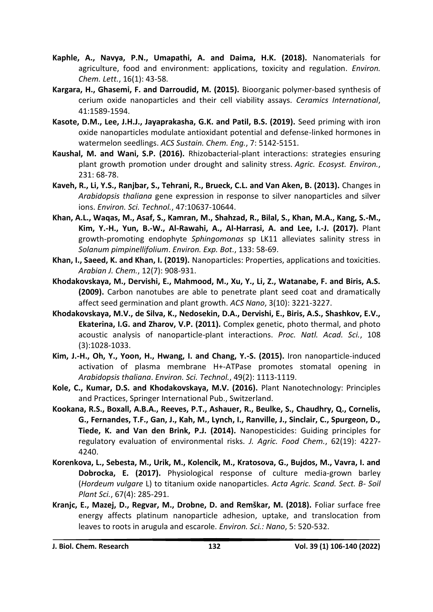- **Kaphle, A., Navya, P.N., Umapathi, A. and Daima, H.K. (2018).** Nanomaterials for agriculture, food and environment: applications, toxicity and regulation. *Environ. Chem. Lett.*, 16(1): 43-58.
- **Kargara, H., Ghasemi, F. and Darroudid, M. (2015).** Bioorganic polymer-based synthesis of cerium oxide nanoparticles and their cell viability assays. *Ceramics International*, 41:1589-1594.
- **Kasote, D.M., Lee, J.H.J., Jayaprakasha, G.K. and Patil, B.S. (2019).** Seed priming with iron oxide nanoparticles modulate antioxidant potential and defense-linked hormones in watermelon seedlings. *ACS Sustain. Chem. Eng.*, 7: 5142-5151.
- **Kaushal, M. and Wani, S.P. (2016).** Rhizobacterial-plant interactions: strategies ensuring plant growth promotion under drought and salinity stress. *Agric. Ecosyst. Environ.*, 231: 68-78.
- **Kaveh, R., Li, Y.S., Ranjbar, S., Tehrani, R., Brueck, C.L. and Van Aken, B. (2013).** Changes in *Arabidopsis thaliana* gene expression in response to silver nanoparticles and silver ions. *Environ. Sci. Technol.*, 47:10637-10644.
- **Khan, A.L., Waqas, M., Asaf, S., Kamran, M., Shahzad, R., Bilal, S., Khan, M.A., Kang, S.-M., Kim, Y.-H., Yun, B.-W., Al-Rawahi, A., Al-Harrasi, A. and Lee, I.-J. (2017).** Plant growth-promoting endophyte *Sphingomonas* sp LK11 alleviates salinity stress in *Solanum pimpinellifolium*. *Environ. Exp. Bot.*, 133: 58-69.
- **Khan, I., Saeed, K. and Khan, I. (2019).** Nanoparticles: Properties, applications and toxicities. *Arabian J. Chem.*, 12(7): 908-931.
- **Khodakovskaya, M., Dervishi, E., Mahmood, M., Xu, Y., Li, Z., Watanabe, F. and Biris, A.S. (2009).** Carbon nanotubes are able to penetrate plant seed coat and dramatically affect seed germination and plant growth. *ACS Nano*, 3(10): 3221-3227.
- **Khodakovskaya, M.V., de Silva, K., Nedosekin, D.A., Dervishi, E., Biris, A.S., Shashkov, E.V., Ekaterina, I.G. and Zharov, V.P. (2011).** Complex genetic, photo thermal, and photo acoustic analysis of nanoparticle-plant interactions. *Proc. Natl. Acad. Sci.*, 108 (3):1028-1033.
- **Kim, J.-H., Oh, Y., Yoon, H., Hwang, I. and Chang, Y.-S. (2015).** Iron nanoparticle-induced activation of plasma membrane H+-ATPase promotes stomatal opening in *Arabidopsis thaliana*. *Environ. Sci. Technol.*, 49(2): 1113-1119.
- **Kole, C., Kumar, D.S. and Khodakovskaya, M.V. (2016).** Plant Nanotechnology: Principles and Practices, Springer International Pub., Switzerland.
- **Kookana, R.S., Boxall, A.B.A., Reeves, P.T., Ashauer, R., Beulke, S., Chaudhry, Q., Cornelis, G., Fernandes, T.F., Gan, J., Kah, M., Lynch, I., Ranville, J., Sinclair, C., Spurgeon, D., Tiede, K. and Van den Brink, P.J. (2014).** Nanopesticides: Guiding principles for regulatory evaluation of environmental risks. *J. Agric. Food Chem.*, 62(19): 4227- 4240.
- **Korenkova, L., Sebesta, M., Urik, M., Kolencik, M., Kratosova, G., Bujdos, M., Vavra, I. and Dobrocka, E. (2017).** Physiological response of culture media-grown barley (*Hordeum vulgare* L) to titanium oxide nanoparticles. *Acta Agric. Scand. Sect. B- Soil Plant Sci.*, 67(4): 285-291.
- **Kranjc, E., Mazej, D., Regvar, M., Drobne, D. and Remškar, M. (2018).** Foliar surface free energy affects platinum nanoparticle adhesion, uptake, and translocation from leaves to roots in arugula and escarole. *Environ. Sci.: Nano*, 5: 520-532.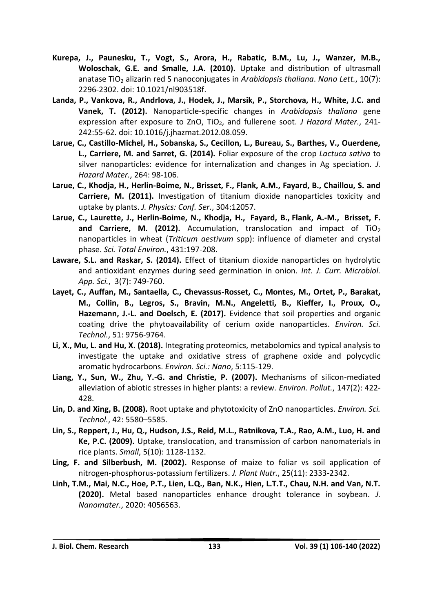- **Kurepa, J., Paunesku, T., Vogt, S., Arora, H., Rabatic, B.M., Lu, J., Wanzer, M.B., Woloschak, G.E. and Smalle, J.A. (2010).** Uptake and distribution of ultrasmall anatase TiO<sub>2</sub> alizarin red S nanoconjugates in *Arabidopsis thaliana*. *Nano Lett.*, 10(7): 2296-2302. doi: 10.1021/nl903518f.
- **Landa, P., Vankova, R., Andrlova, J., Hodek, J., Marsik, P., Storchova, H., White, J.C. and Vanek, T. (2012).** Nanoparticle-specific changes in *Arabidopsis thaliana* gene expression after exposure to ZnO, TiO2, and fullerene soot. *J Hazard Mater.*, 241- 242:55-62. doi: 10.1016/j.jhazmat.2012.08.059.
- **Larue, C., Castillo-Michel, H., Sobanska, S., Cecillon, L., Bureau, S., Barthes, V., Ouerdene, L., Carriere, M. and Sarret, G. (2014).** Foliar exposure of the crop *Lactuca sativa* to silver nanoparticles: evidence for internalization and changes in Ag speciation. *J. Hazard Mater.*, 264: 98-106.
- **Larue, C., Khodja, H., Herlin-Boime, N., Brisset, F., Flank, A.M., Fayard, B., Chaillou, S. and Carriere, M. (2011).** Investigation of titanium dioxide nanoparticles toxicity and uptake by plants. *J. Physics: Conf. Ser.*, 304:12057.
- **Larue, C., Laurette, J., Herlin-Boime, N., [Khodja,](https://pubmed.ncbi.nlm.nih.gov/?term=Khodja+H&cauthor_id=22684121) H., [Fayard,](https://pubmed.ncbi.nlm.nih.gov/?term=Fayard+B&cauthor_id=22684121) B., [Flank,](https://pubmed.ncbi.nlm.nih.gov/?term=Flank+AM&cauthor_id=22684121) A.-M., [Brisset,](https://pubmed.ncbi.nlm.nih.gov/?term=Brisset+F&cauthor_id=22684121) F.**  and **[Carriere,](https://pubmed.ncbi.nlm.nih.gov/?term=Carriere+M&cauthor_id=22684121) M. (2012).** Accumulation, translocation and impact of TiO<sub>2</sub> nanoparticles in wheat (*Triticum aestivum* spp): influence of diameter and crystal phase. *Sci. Total Environ.*, 431:197-208.
- **Laware, S.L. and Raskar, S. (2014).** Effect of titanium dioxide nanoparticles on hydrolytic and antioxidant enzymes during seed germination in onion. *Int. J. Curr. Microbiol. App. Sci.*, 3(7): 749-760.
- **Layet, C., Auffan, M., Santaella, C., Chevassus-Rosset, C., Montes, M., Ortet, P., Barakat, M., Collin, B., Legros, S., Bravin, M.N., Angeletti, B., Kieffer, I., Proux, O., Hazemann, J.-L. and Doelsch, E. (2017).** Evidence that soil properties and organic coating drive the phytoavailability of cerium oxide nanoparticles. *Environ. Sci. Technol.*, 51: 9756-9764.
- **Li, X., Mu, L. and Hu, X. (2018).** Integrating proteomics, metabolomics and typical analysis to investigate the uptake and oxidative stress of graphene oxide and polycyclic aromatic hydrocarbons. *Environ. Sci.: Nano*, 5:115-129.
- **Liang, Y., Sun, W., Zhu, Y.-G. and Christie, P. (2007).** Mechanisms of silicon-mediated alleviation of abiotic stresses in higher plants: a review. *Environ. Pollut.*, 147(2): 422- 428.
- **Lin, D. and Xing, B. (2008).** Root uptake and phytotoxicity of ZnO nanoparticles. *Environ. Sci. Technol.*, 42: 5580–5585.
- **Lin, S., Reppert, J., Hu, Q., Hudson, J.S., Reid, M.L., Ratnikova, T.A., Rao, A.M., Luo, H. and Ke, P.C. (2009).** Uptake, translocation, and transmission of carbon nanomaterials in rice plants. *Small*, 5(10): 1128-1132.
- **Ling, F. and Silberbush, M. (2002).** Response of maize to foliar vs soil application of nitrogen-phosphorus-potassium fertilizers. *J. Plant Nutr.*, 25(11): 2333-2342.
- **Linh, T.M., Mai, N.C., Hoe, P.T., Lien, L.Q., Ban, N.K., Hien, L.T.T., Chau, N.H. and Van, N.T. (2020).** Metal based nanoparticles enhance drought tolerance in soybean. *J. Nanomater.*, 2020: 4056563.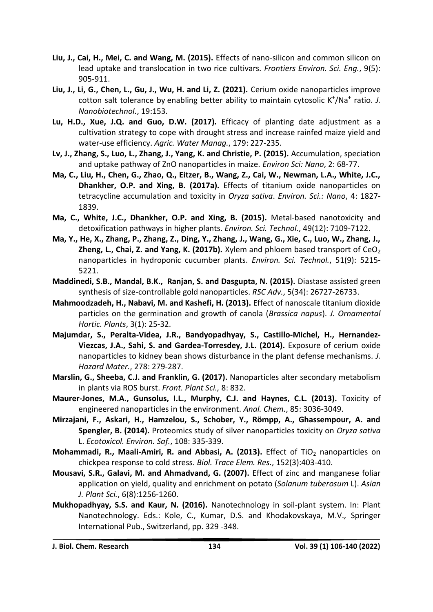- **Liu, J., Cai, H., Mei, C. and Wang, M. (2015).** Effects of nano-silicon and common silicon on lead uptake and translocation in two rice cultivars. *Frontiers Environ. Sci. Eng.*, 9(5): 905-911.
- **Liu, J., Li, G., Chen, L., Gu, J., Wu, H. and Li, Z. (2021).** Cerium oxide nanoparticles improve cotton salt tolerance by enabling better ability to maintain cytosolic K<sup>+</sup>/Na<sup>+</sup> ratio. J. *Nanobiotechnol.*, 19:153.
- **Lu, H.D., Xue, J.Q. and Guo, D.W. (2017).** Efficacy of planting date adjustment as a cultivation strategy to cope with drought stress and increase rainfed maize yield and water-use efficiency. *Agric. Water Manag.*, 179: 227-235.
- **Lv, J., Zhang, S., Luo, L., Zhang, J., Yang, K. and Christie, P. (2015).** Accumulation, speciation and uptake pathway of ZnO nanoparticles in maize. *Environ Sci: Nano*, 2: 68-77.
- **Ma, C., Liu, H., Chen, G., Zhao, Q., Eitzer, B., Wang, Z., Cai, W., Newman, L.A., White, J.C., Dhankher, O.P. and Xing, B. (2017a).** Effects of titanium oxide nanoparticles on tetracycline accumulation and toxicity in *Oryza sativa*. *Environ. Sci.: Nano*, 4: 1827- 1839.
- **Ma, C., White, J.C., Dhankher, O.P. and Xing, B. (2015).** Metal-based nanotoxicity and detoxification pathways in higher plants. *Environ. Sci. Technol.*, 49(12): 7109-7122.
- **Ma, Y., He, X., Zhang, P., Zhang, Z., Ding, Y., Zhang, J., Wang, G., Xie, C., Luo, W., Zhang, J., Zheng, L., Chai, Z. and Yang, K. (2017b).** Xylem and phloem based transport of  $CeO<sub>2</sub>$ nanoparticles in hydroponic cucumber plants. *Environ. Sci. Technol.*, 51(9): 5215- 5221.
- **Maddinedi, S.B., Mandal, B.K., Ranjan, S. and Dasgupta, N. (2015).** Diastase assisted green synthesis of size-controllable gold nanoparticles. *RSC Adv.*, 5(34): 26727-26733.
- **Mahmoodzadeh, H., Nabavi, M. and Kashefi, H. (2013).** Effect of nanoscale titanium dioxide particles on the germination and growth of canola (*Brassica napus*). *J. Ornamental Hortic. Plants*, 3(1): 25-32.
- **Majumdar, S., Peralta-Videa, J.R., Bandyopadhyay, S., Castillo-Michel, H., Hernandez-Viezcas, J.A., Sahi, S. and Gardea-Torresdey, J.L. (2014).** Exposure of cerium oxide nanoparticles to kidney bean shows disturbance in the plant defense mechanisms*. J. Hazard Mater.*, 278: 279-287.
- **Marslin, G., Sheeba, C.J. and Franklin, G. (2017).** Nanoparticles alter secondary metabolism in plants via ROS burst. *Front. Plant Sci.,* 8: 832.
- **Maurer-Jones, M.A., Gunsolus, I.L., Murphy, C.J. and Haynes, C.L. (2013).** Toxicity of engineered nanoparticles in the environment. *Anal. Chem.*, 85: 3036-3049.
- **Mirzajani, F., Askari, H., Hamzelou, S., Schober, Y., Römpp, A., Ghassempour, A. and Spengler, B. (2014).** Proteomics study of silver nanoparticles toxicity on *Oryza sativa*  L. *Ecotoxicol. Environ. Saf.*, 108: 335-339.
- **Mohammadi, R., Maali-Amiri, R. and Abbasi, A. (2013).** Effect of TiO<sub>2</sub> nanoparticles on chickpea response to cold stress. *Biol. Trace Elem. Res.*, 152(3):403-410.
- **Mousavi, S.R., Galavi, M. and Ahmadvand, G. (2007).** Effect of zinc and manganese foliar application on yield, quality and enrichment on potato (*Solanum tuberosum* L). *Asian J. Plant Sci.*, 6(8):1256-1260.
- **Mukhopadhyay, S.S. and Kaur, N. (2016).** Nanotechnology in soil-plant system. In: Plant Nanotechnology. Eds.: Kole, C., Kumar, D.S. and Khodakovskaya, M.V.*,* Springer International Pub., Switzerland, pp. 329 -348.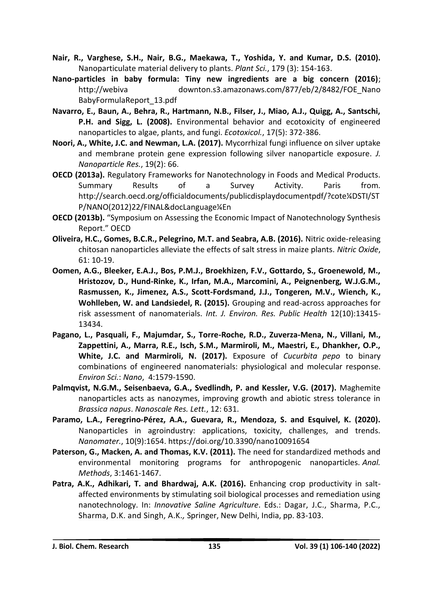- **Nair, R., Varghese, S.H., Nair, B.G., Maekawa, T., Yoshida, Y. and Kumar, D.S. (2010).**  Nanoparticulate material delivery to plants. *Plant Sci.*, 179 (3): 154-163.
- **Nano-particles in baby formula: Tiny new ingredients are a big concern (2016)**; [http://webiva](http://webiva/) downton.s3.amazonaws.com/877/eb/2/8482/FOE\_Nano BabyFormulaReport\_13.pdf
- **Navarro, E., Baun, A., Behra, R., Hartmann, N.B., Filser, J., Miao, A.J., Quigg, A., Santschi, P.H. and Sigg, L. (2008).** Environmental behavior and ecotoxicity of engineered nanoparticles to algae, plants, and fungi. *Ecotoxicol.*, 17(5): 372-386.
- **Noori, A., White, J.C. and Newman, L.A. (2017).** Mycorrhizal fungi influence on silver uptake and membrane protein gene expression following silver nanoparticle exposure. *J. Nanoparticle Res.*, 19(2): 66.
- **OECD (2013a).** Regulatory Frameworks for Nanotechnology in Foods and Medical Products. Summary Results of a Survey Activity. Paris from. http://search.oecd.org/officialdocuments/publicdisplaydocumentpdf/?cote¼DSTI/ST P/NANO(2012)22/FINAL&docLanguage¼En
- **OECD (2013b).** "Symposium on Assessing the Economic Impact of Nanotechnology Synthesis Report." OECD
- **Oliveira, H.C., Gomes, B.C.R., Pelegrino, M.T. and Seabra, A.B. (2016).** Nitric oxide-releasing chitosan nanoparticles alleviate the effects of salt stress in maize plants. *Nitric Oxide*, 61: 10-19.
- **Oomen, A.G., Bleeker, E.A.J., Bos, P.M.J., Broekhizen, F.V., Gottardo, S., Groenewold, M., Hristozov, D., Hund-Rinke, K., Irfan, M.A., Marcomini, A., Peignenberg, W.J.G.M., Rasmussen, K., Jimenez, A.S., Scott-Fordsmand, J.J., Tongeren, M.V., Wiench, K., Wohlleben, W. and Landsiedel, R. (2015).** Grouping and read-across approaches for risk assessment of nanomaterials. *Int. J. Environ. Res. Public Health* 12(10):13415- 13434.
- **Pagano, L., Pasquali, F., Majumdar, S., Torre-Roche, R.D., Zuverza-Mena, N., Villani, M., Zappettini, A., Marra, R.E., Isch, S.M., Marmiroli, M., Maestri, E., Dhankher, O.P., White, J.C. and Marmiroli, N. (2017).** Exposure of *Cucurbita pepo* to binary combinations of engineered nanomaterials: physiological and molecular response. *Environ Sci.*: *Nano*, 4:1579-1590.
- **Palmqvist, N.G.M., Seisenbaeva, G.A., Svedlindh, P. and Kessler, V.G. (2017).** Maghemite nanoparticles acts as nanozymes, improving growth and abiotic stress tolerance in *Brassica napus*. *Nanoscale Res. Lett.*, 12: 631.
- **Paramo, L.A., Feregrino-Pérez, A.A., Guevara, R., Mendoza, S. and Esquivel, K. (2020).** Nanoparticles in agroindustry: applications, toxicity, challenges, and trends. *Nanomater.*, 10(9):1654.<https://doi.org/10.3390/nano10091654>
- **Paterson, G., Macken, A. and Thomas, K.V. (2011).** The need for standardized methods and environmental monitoring programs for anthropogenic nanoparticles. *Anal. Methods*, 3:1461-1467.
- **Patra, A.K., Adhikari, T. and Bhardwaj, A.K. (2016).** Enhancing crop productivity in saltaffected environments by stimulating soil biological processes and remediation using nanotechnology. In: *Innovative Saline Agriculture*. Eds.: Dagar, J.C., Sharma, P.C., Sharma, D.K. and Singh, A.K.*,* Springer, New Delhi, India, pp. 83-103.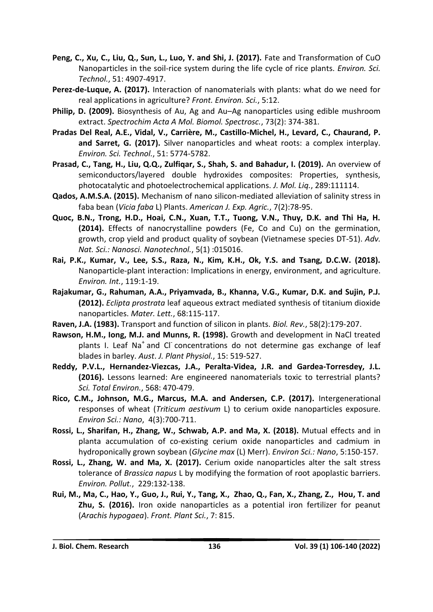- **Peng, C., Xu, C., Liu, Q., Sun, L., Luo, Y. and Shi, J. (2017).** Fate and Transformation of CuO Nanoparticles in the soil-rice system during the life cycle of rice plants. *Environ. Sci. Technol.*, 51: 4907-4917.
- **Perez-de-Luque, A. (2017).** Interaction of nanomaterials with plants: what do we need for real applications in agriculture? *Front. Environ. Sci.*, 5:12.
- **Philip, D. (2009).** Biosynthesis of Au, Ag and Au–Ag nanoparticles using edible mushroom extract. *Spectrochim Acta A Mol. Biomol. Spectrosc.*, 73(2): 374-381.
- **Pradas Del Real, A.E., Vidal, V., Carrière, M., Castillo-Michel, H., Levard, C., Chaurand, P. and Sarret, G. (2017).** Silver nanoparticles and wheat roots: a complex interplay. *Environ. Sci. Technol.*, 51: 5774-5782.
- **Prasad, C., Tang, H., Liu, Q.Q., Zulfiqar, S., Shah, S. and Bahadur, I. (2019).** An overview of semiconductors/layered double hydroxides composites: Properties, synthesis, photocatalytic and photoelectrochemical applications. *J. Mol. Liq.*, 289:111114.
- **Qados, A.M.S.A. (2015).** Mechanism of nano silicon-mediated alleviation of salinity stress in faba bean (*Vicia faba* L) Plants. *American J. Exp. Agric.*, 7(2):78-95.
- **Quoc, B.N., Trong, H.D., Hoai, C.N., Xuan, T.T., Tuong, V.N., Thuy, D.K. and Thi Ha, H. (2014).** Effects of nanocrystalline powders (Fe, Co and Cu) on the germination, growth, crop yield and product quality of soybean (Vietnamese species DT-51). *Adv. Nat. Sci.: Nanosci. Nanotechnol.*, 5(1) :015016.
- **Rai, P.K., Kumar, V., Lee, S.S., Raza, N., Kim, K.H., Ok, Y.S. and Tsang, D.C.W. (2018).** Nanoparticle-plant interaction: Implications in energy, environment, and agriculture. *Environ. Int.*, 119:1-19.
- **Rajakumar, G., Rahuman, A.A., Priyamvada, B., Khanna, V.G., Kumar, D.K. and Sujin, P.J. (2012).** *Eclipta prostrata* leaf aqueous extract mediated synthesis of titanium dioxide nanoparticles. *Mater. Lett.*, 68:115-117.
- **Raven, J.A. (1983).** Transport and function of silicon in plants. *Biol. Rev.*, 58(2):179-207.
- **Rawson, H.M., Iong, M.J. and Munns, R. (1998).** Growth and development in NaCl treated plants I. Leaf Na<sup>+</sup> and Cl concentrations do not determine gas exchange of leaf blades in barley. *Aust*. *J. Plant Physiol.*, 15: 519-527.
- **Reddy, P.V.L., Hernandez-Viezcas, J.A., Peralta-Videa, J.R. and Gardea-Torresdey, J.L. (2016).** Lessons learned: Are engineered nanomaterials toxic to terrestrial plants? *Sci. Total Environ.*, 568: 470-479.
- **Rico, C.M., Johnson, M.G., Marcus, M.A. and Andersen, C.P. (2017).** Intergenerational responses of wheat (*Triticum aestivum* L) to cerium oxide nanoparticles exposure. *Environ Sci.: Nano*, 4(3):700-711.
- **Rossi, L., Sharifan, H., Zhang, W., Schwab, A.P. and Ma, X. (2018).** Mutual effects and in planta accumulation of co-existing cerium oxide nanoparticles and cadmium in hydroponically grown soybean (*Glycine max* (L) Merr). *Environ Sci.: Nano*, 5:150-157.
- **Rossi, L., Zhang, W. and Ma, X. (2017).** Cerium oxide nanoparticles alter the salt stress tolerance of *Brassica napus* L by modifying the formation of root apoplastic barriers. *Environ. Pollut.*, 229:132-138.
- **Rui, M., Ma, C., Hao, Y., Guo, J., Rui, Y., Tang, X., Zhao, Q., Fan, X., Zhang, Z., Hou, T. and Zhu, S. (2016).** Iron oxide nanoparticles as a potential iron fertilizer for peanut (*Arachis hypogaea*). *Front. Plant Sci.*, 7: 815.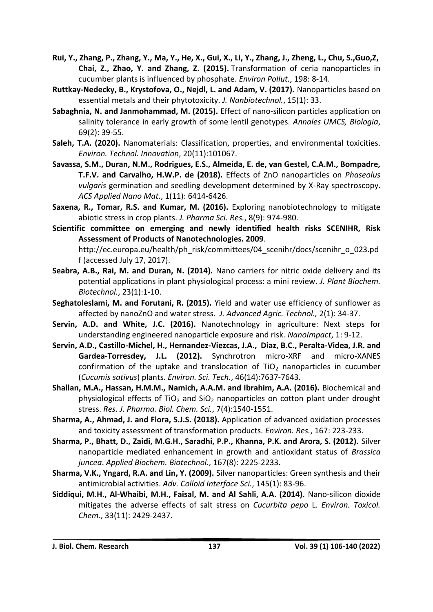- Rui, Y., Zhang, P., Zhang, Y., Ma, Y., He, X., Gui, X., Li, Y., Zhang, J., Zheng, L., Chu, S., Guo, Z, **Chai, Z., Zhao, Y. and Zhang, Z. (2015).** Transformation of ceria nanoparticles in cucumber plants is influenced by phosphate. *Environ Pollut.*, 198: 8-14.
- **Ruttkay-Nedecky, B., Krystofova, O., Nejdl, L. and Adam, V. (2017).** Nanoparticles based on essential metals and their phytotoxicity. *J. Nanbiotechnol.*, 15(1): 33.
- **Sabaghnia, N. and Janmohammad, M. (2015).** Effect of nano-silicon particles application on salinity tolerance in early growth of some lentil genotypes. *Annales UMCS, Biologia*, 69(2): 39-55.
- **Saleh, T.A. (2020).** Nanomaterials: Classification, properties, and environmental toxicities. *Environ. Technol. Innovation*, 20(11):101067.
- **Savassa, S.M., Duran, N.M., Rodrigues, E.S., Almeida, E. de, van Gestel, C.A.M., Bompadre, T.F.V. and Carvalho, H.W.P. de (2018).** Effects of ZnO nanoparticles on *Phaseolus vulgaris* germination and seedling development determined by X-Ray spectroscopy. *ACS Applied Nano Mat.*, 1(11): 6414-6426.
- **Saxena, R., Tomar, R.S. and Kumar, M. (2016).** Exploring nanobiotechnology to mitigate abiotic stress in crop plants. *J. Pharma Sci. Res.*, 8(9): 974-980.
- **Scientific committee on emerging and newly identified health risks SCENIHR, Risk Assessment of Products of Nanotechnologies. 2009**. http://ec.europa.eu/health/ph\_risk/committees/04\_scenihr/docs/scenihr\_o\_023.pd f (accessed July 17, 2017).
- **Seabra, A.B., Rai, M. and Duran, N. (2014).** Nano carriers for nitric oxide delivery and its potential applications in plant physiological process: a mini review. *J. Plant Biochem. Biotechnol.*, 23(1):1-10.
- **Seghatoleslami, M. and Forutani, R. (2015).** Yield and water use efficiency of sunflower as affected by nanoZnO and water stress. *J. Advanced Agric. Technol.,* 2(1): 34-37.
- **Servin, A.D. and White, J.C. (2016).** Nanotechnology in agriculture: Next steps for understanding engineered nanoparticle exposure and risk*. NanoImpact*, 1: 9-12.
- **Servin, A.D., Castillo-Michel, H., Hernandez-Viezcas, J.A., Diaz, B.C., Peralta-Videa, J.R. and Gardea-Torresdey, J.L. (2012).** Synchrotron micro-XRF and micro-XANES confirmation of the uptake and translocation of  $TiO<sub>2</sub>$  nanoparticles in cucumber (*Cucumis sativus*) plants. *Environ. Sci. Tech.*, 46(14):7637-7643.
- **Shallan, M.A., Hassan, H.M.M., Namich, A.A.M. and Ibrahim, A.A. (2016).** Biochemical and physiological effects of TiO<sub>2</sub> and SiO<sub>2</sub> nanoparticles on cotton plant under drought stress. *Res. J. Pharma. Biol. Chem. Sci.*, 7(4):1540-1551.
- **Sharma, A., Ahmad, J. and Flora, S.J.S. (2018).** Application of advanced oxidation processes and toxicity assessment of transformation products. *Environ. Res.*, 167: 223-233.
- **Sharma, P., Bhatt, D., Zaidi, M.G.H., Saradhi, P.P., Khanna, P.K. and Arora, S. (2012).** Silver nanoparticle mediated enhancement in growth and antioxidant status of *Brassica juncea*. *Applied Biochem. Biotechnol.*, 167(8): 2225-2233.
- **Sharma, V.K., Yngard, R.A. and Lin, Y. (2009).** Silver nanoparticles: Green synthesis and their antimicrobial activities. *Adv. Colloid Interface Sci.*, 145(1): 83-96.
- **Siddiqui, M.H., Al-Whaibi, M.H., Faisal, M. and Al Sahli, A.A. (2014).** Nano-silicon dioxide mitigates the adverse effects of salt stress on *Cucurbita pepo* L. *Environ. Toxicol. Chem.*, 33(11): 2429-2437.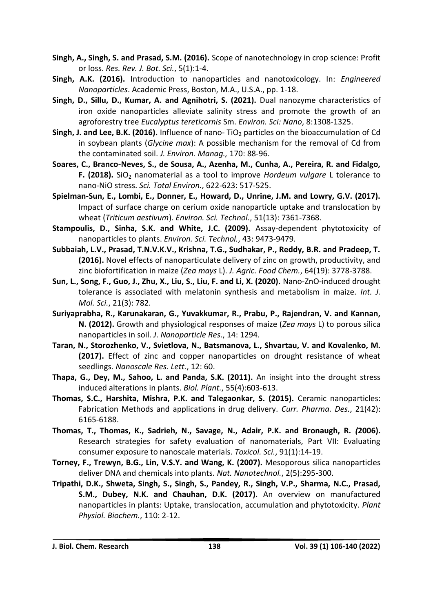- **Singh, A., Singh, S. and Prasad, S.M. (2016).** Scope of nanotechnology in crop science: Profit or loss. *Res. Rev. J. Bot. Sci.*, 5(1):1-4.
- **Singh, A.K. (2016).** Introduction to nanoparticles and nanotoxicology. In: *Engineered Nanoparticles*. Academic Press, Boston, M.A., U.S.A., pp. 1-18.
- **Singh, D., Sillu, D., Kumar, A. and Agnihotri, S. (2021).** Dual nanozyme characteristics of iron oxide nanoparticles alleviate salinity stress and promote the growth of an agroforestry tree *Eucalyptus tereticornis* Sm. *Environ. Sci: Nano*, 8:1308-1325.
- **Singh, J. and Lee, B.K. (2016).** Influence of nano- TiO<sub>2</sub> particles on the bioaccumulation of Cd in soybean plants (*Glycine max*): A possible mechanism for the removal of Cd from the contaminated soil. *J. Environ. Manag.,* 170: 88-96.
- **Soares, C., Branco-Neves, S., de Sousa, A., Azenha, M., Cunha, A., Pereira, R. and Fidalgo, F. (2018).** SiO<sub>2</sub> nanomaterial as a tool to improve *Hordeum vulgare* L tolerance to nano-NiO stress. *Sci. Total Environ.*, 622-623: 517-525.
- **Spielman-Sun, E., Lombi, E., Donner, E., Howard, D., Unrine, J.M. and Lowry, G.V. (2017).** Impact of surface charge on cerium oxide nanoparticle uptake and translocation by wheat (*Triticum aestivum*). *Environ. Sci. Technol.*, 51(13): 7361-7368.
- **Stampoulis, D., Sinha, S.K. and White, J.C. (2009).** Assay-dependent phytotoxicity of nanoparticles to plants. *Environ. Sci. Technol.*, 43: 9473-9479.
- **Subbaiah, L.V., Prasad, T.N.V.K.V., Krishna, T.G., Sudhakar, P., Reddy, B.R. and Pradeep, T. (2016).** Novel effects of nanoparticulate delivery of zinc on growth, productivity, and zinc biofortification in maize (*Zea mays* L). *J. Agric. Food Chem.*, 64(19): 3778-3788.
- **Sun, L., Song, F., Guo, J., Zhu, X., Liu, S., Liu, F. and Li, X. (2020).** Nano-ZnO-induced drought tolerance is associated with melatonin synthesis and metabolism in maize. *Int. J. Mol. Sci.*, 21(3): 782.
- **Suriyaprabha, R., Karunakaran, G., Yuvakkumar, R., Prabu, P., Rajendran, V. and Kannan, N. (2012).** Growth and physiological responses of maize (*Zea mays* L) to porous silica nanoparticles in soil. *J*. *Nanoparticle Res*., 14: 1294.
- **Taran, N., Storozhenko, V., Svietlova, N., Batsmanova, L., Shvartau, V. and Kovalenko, M. (2017).** Effect of zinc and copper nanoparticles on drought resistance of wheat seedlings. *Nanoscale Res. Lett.*, 12: 60.
- **Thapa, G., Dey, M., Sahoo, L. and Panda, S.K. (2011).** An insight into the drought stress induced alterations in plants. *Biol. Plant.*, 55(4):603-613.
- **Thomas, S.C., Harshita, Mishra, P.K. and Talegaonkar, S. (2015).** Ceramic nanoparticles: Fabrication Methods and applications in drug delivery. *Curr. Pharma. Des.*, 21(42): 6165-6188.
- **Thomas, T., Thomas, K., Sadrieh, N., Savage, N., Adair, P.K. and Bronaugh, R.** *(***2006).** Research strategies for safety evaluation of nanomaterials, Part VII: Evaluating consumer exposure to nanoscale materials. *Toxicol. Sci.*, 91(1):14-19.
- **Torney, F., Trewyn, B.G., Lin, V.S.Y. and Wang, K. (2007).** Mesoporous silica nanoparticles deliver DNA and chemicals into plants. *Nat. Nanotechnol.*, 2(5):295-300.
- **Tripathi, D.K., Shweta, Singh, S., Singh, S., Pandey, R., Singh, V.P., Sharma, N.C., Prasad, S.M., Dubey, N.K. and Chauhan, D.K. (2017).** An overview on manufactured nanoparticles in plants: Uptake, translocation, accumulation and phytotoxicity. *Plant Physiol. Biochem.*, 110: 2-12.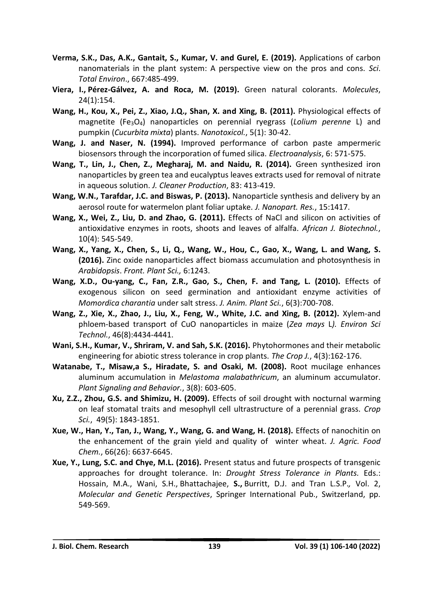- **Verma, S.K., Das, A.K., Gantait, S., Kumar, V. and Gurel, E. (2019).** Applications of carbon nanomaterials in the plant system: A perspective view on the pros and cons. *Sci*. *Total Environ*., 667:485-499.
- **[Viera,](https://www.ncbi.nlm.nih.gov/pubmed/?term=Viera%20I%5BAuthor%5D&cauthor=true&cauthor_uid=30609768) I., [Pérez-Gálvez,](https://www.ncbi.nlm.nih.gov/pubmed/?term=P%26%23x000e9%3Brez-G%26%23x000e1%3Blvez%20A%5BAuthor%5D&cauthor=true&cauthor_uid=30609768) A. and [Roca,](https://www.ncbi.nlm.nih.gov/pubmed/?term=Roca%20M%5BAuthor%5D&cauthor=true&cauthor_uid=30609768) M. (2019).** Green natural colorants. *Molecules*, 24(1):154.
- **Wang, H., Kou, X., Pei, Z., Xiao, J.Q., Shan, X. and Xing, B. (2011).** Physiological effects of magnetite (Fe3O4) nanoparticles on perennial ryegrass (*Lolium perenne* L) and pumpkin (*Cucurbita mixta*) plants. *Nanotoxicol.*, 5(1): 30-42.
- **Wang, J. and Naser, N. (1994).** Improved performance of carbon paste ampermeric biosensors through the incorporation of fumed silica. *Electroanalysis*, 6: 571-575.
- **Wang, T., Lin, J., Chen, Z., Megharaj, M. and Naidu, R. (2014).** Green synthesized iron nanoparticles by green tea and eucalyptus leaves extracts used for removal of nitrate in aqueous solution. *J. Cleaner Production*, 83: 413-419.
- **Wang, W.N., Tarafdar, J.C. and Biswas, P. (2013).** Nanoparticle synthesis and delivery by an aerosol route for watermelon plant foliar uptake. *J. Nanopart. Res.*, 15:1417.
- **Wang, X., Wei, Z., Liu, D. and Zhao, G. (2011).** Effects of NaCl and silicon on activities of antioxidative enzymes in roots, shoots and leaves of alfalfa. *African J. Biotechnol.*, 10(4): 545-549.
- **Wang, X., Yang, X., Chen, S., Li, Q., Wang, W., Hou, C., Gao, X., Wang, L. and Wang, S. (2016).** Zinc oxide nanoparticles affect biomass accumulation and photosynthesis in *Arabidopsis*. *Front. Plant Sci.,* 6:1243.
- **Wang, X.D., Ou-yang, C., Fan, Z.R., Gao, S., Chen, F. and Tang, L. (2010).** Effects of exogenous silicon on seed germination and antioxidant enzyme activities of *Momordica charantia* under salt stress. *J. Anim. Plant Sci.*, 6(3):700-708.
- **Wang, Z., Xie, X., Zhao, J., Liu, X., Feng, W., White, J.C. and Xing, B. (2012).** Xylem-and phloem-based transport of CuO nanoparticles in maize (*Zea mays* L*). Environ Sci Technol.*, 46(8):4434-4441.
- **Wani, S.H., Kumar, V., Shriram, V. and Sah, S.K. (2016).** Phytohormones and their metabolic engineering for abiotic stress tolerance in crop plants. *The Crop J.*, 4(3):162-176.
- **Watanabe, T., Misaw,a S., Hiradate, S. and Osaki, M. (2008).** Root mucilage enhances aluminum accumulation in *Melastoma malabathricum*, an aluminum accumulator. *Plant Signaling and Behavior.*, 3(8): 603-605.
- **Xu, Z.Z., Zhou, G.S. and Shimizu, H. (2009).** Effects of soil drought with nocturnal warming on leaf stomatal traits and mesophyll cell ultrastructure of a perennial grass. *Crop Sci.*, 49(5): 1843-1851.
- **Xue, W., Han, Y., Tan, J., Wang, Y., Wang, G. and Wang, H. (2018).** Effects of nanochitin on the enhancement of the grain yield and quality of winter wheat. *J. Agric. Food Chem.*, 66(26): 6637-6645.
- **Xue, Y., Lung, S.C. and Chye, M.L. (2016).** Present status and future prospects of transgenic approaches for drought tolerance. In: *Drought Stress Tolerance in Plants.* Eds.: Hossain, M.A., Wani, S.H., Bhattachajee, **S.,** Burritt, D.J. and Tran L.S.P.*,* Vol. 2, *Molecular and Genetic Perspectives*, Springer International Pub., Switzerland, pp. 549-569.